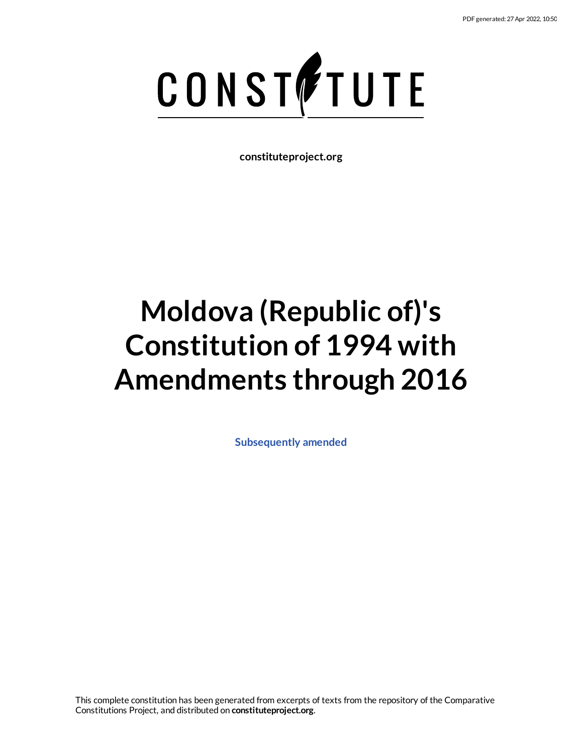# CONSTETUTE

**constituteproject.org**

# **Moldova (Republic of)'s Constitution of 1994 with Amendments through 2016**

**[Subsequently](https://www.constituteproject.org/Europe/Moldova_2016?lang=en) amended**

This complete constitution has been generated from excerpts of texts from the repository of the Comparative Constitutions Project, and distributed on **constituteproject.org**.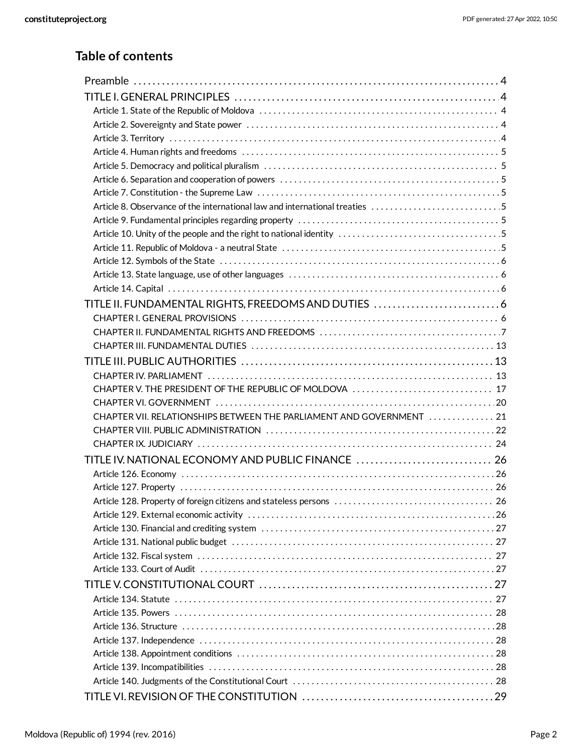# **Table of contents**

| Article 8. Observance of the international law and international treaties 5 |  |
|-----------------------------------------------------------------------------|--|
|                                                                             |  |
|                                                                             |  |
|                                                                             |  |
|                                                                             |  |
|                                                                             |  |
|                                                                             |  |
| TITLE II. FUNDAMENTAL RIGHTS, FREEDOMS AND DUTIES  6                        |  |
|                                                                             |  |
|                                                                             |  |
|                                                                             |  |
|                                                                             |  |
|                                                                             |  |
| CHAPTER V. THE PRESIDENT OF THE REPUBLIC OF MOLDOVA  17                     |  |
|                                                                             |  |
| CHAPTER VII. RELATIONSHIPS BETWEEN THE PARLIAMENT AND GOVERNMENT  21        |  |
|                                                                             |  |
|                                                                             |  |
| TITLE IV. NATIONAL ECONOMY AND PUBLIC FINANCE  26                           |  |
|                                                                             |  |
|                                                                             |  |
|                                                                             |  |
|                                                                             |  |
|                                                                             |  |
|                                                                             |  |
|                                                                             |  |
|                                                                             |  |
|                                                                             |  |
|                                                                             |  |
|                                                                             |  |
|                                                                             |  |
|                                                                             |  |
|                                                                             |  |
|                                                                             |  |
|                                                                             |  |
|                                                                             |  |
|                                                                             |  |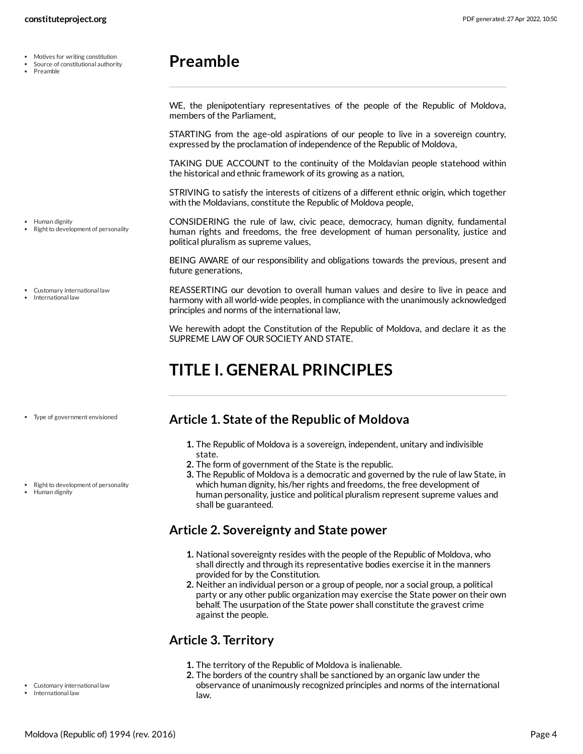- Motives for writing constitution  $\bullet$
- Source of constitutional authority
- Preamble

Human dignity

Right to development of personality

Customary international law International law

<span id="page-3-0"></span>WE, the plenipotentiary representatives of the people of the Republic of Moldova, members of the Parliament,

STARTING from the age-old aspirations of our people to live in a sovereign country, expressed by the proclamation of independence of the Republic of Moldova,

TAKING DUE ACCOUNT to the continuity of the Moldavian people statehood within the historical and ethnic framework of its growing as a nation,

STRIVING to satisfy the interests of citizens of a different ethnic origin, which together with the Moldavians, constitute the Republic of Moldova people,

<span id="page-3-6"></span>CONSIDERING the rule of law, civic peace, democracy, human dignity, fundamental human rights and freedoms, the free development of human personality, justice and political pluralism as supreme values,

BEING AWARE of our responsibility and obligations towards the previous, present and future generations,

<span id="page-3-5"></span>REASSERTING our devotion to overall human values and desire to live in peace and harmony with all world-wide peoples, in compliance with the unanimously acknowledged principles and norms of the international law,

We herewith adopt the Constitution of the Republic of Moldova, and declare it as the SUPREME LAW OF OUR SOCIETY AND STATE.

# <span id="page-3-1"></span>**TITLE I. GENERAL PRINCIPLES**

Type of government envisioned

• Right to development of personality

Human dignity

### <span id="page-3-2"></span>**Article 1. State of the Republic of Moldova**

- **1.** The Republic of Moldova is a sovereign, independent, unitary and indivisible state.
- **2.** The form of government of the State is the republic.
- **3.** The Republic of Moldova is a democratic and governed by the rule of law State, in which human dignity, his/her rights and freedoms, the free development of human personality, justice and political pluralism represent supreme values and shall be guaranteed.

# <span id="page-3-3"></span>**Article 2. Sovereignty and State power**

- **1.** National sovereignty resides with the people of the Republic of Moldova, who shall directly and through its representative bodies exercise it in the manners provided for by the Constitution.
- **2.** Neither an individual person or a group of people, nor a social group, a political party or any other public organization may exercise the State power on their own behalf. The usurpation of the State power shall constitute the gravest crime against the people.

# <span id="page-3-4"></span>**Article 3. Territory**

- **1.** The territory of the Republic of Moldova is inalienable.
- **2.** The borders of the country shall be sanctioned by an organic law under the observance of unanimously recognized principles and norms of the international law.
- Customary international law
- International law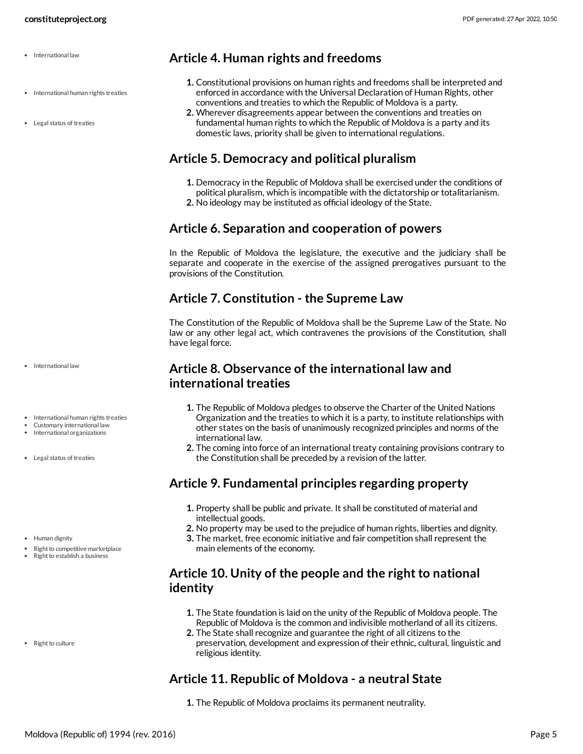- International law
- International human rights treaties
- Legal status of treaties

<span id="page-4-0"></span>**Article 4. Human rights and freedoms**

- **1.** Constitutional provisions on human rights and freedoms shall be interpreted and enforced in accordance with the Universal Declaration of Human Rights, other conventions and treaties to which the Republic of Moldova is a party.
- **2.** Wherever disagreements appear between the conventions and treaties on fundamental human rights to which the Republic of Moldova is a party and its domestic laws, priority shall be given to international regulations.

# <span id="page-4-1"></span>**Article 5. Democracy and political pluralism**

- **1.** Democracy in the Republic of Moldova shall be exercised under the conditions of political pluralism, which is incompatible with the dictatorship or totalitarianism.
- **2.** No ideology may be instituted as official ideology of the State.

# <span id="page-4-2"></span>**Article 6. Separation and cooperation of powers**

In the Republic of Moldova the legislature, the executive and the judiciary shall be separate and cooperate in the exercise of the assigned prerogatives pursuant to the provisions of the Constitution.

# <span id="page-4-3"></span>**Article 7. Constitution - the Supreme Law**

The Constitution of the Republic of Moldova shall be the Supreme Law of the State. No law or any other legal act, which contravenes the provisions of the Constitution, shall have legal force.

# <span id="page-4-4"></span>**Article 8. Observance of the international law and international treaties**

- **1.** The Republic of Moldova pledges to observe the Charter of the United Nations Organization and the treaties to which it is a party, to institute relationships with other states on the basis of unanimously recognized principles and norms of the international law.
- **2.** The coming into force of an international treaty containing provisions contrary to the Constitution shall be preceded by a revision of the latter.

# <span id="page-4-5"></span>**Article 9. Fundamental principles regarding property**

- **1.** Property shall be public and private. It shall be constituted of material and intellectual goods.
- **2.** No property may be used to the prejudice of human rights, liberties and dignity.
- **3.** The market, free economic initiative and fair competition shall represent the main elements of the economy.

# <span id="page-4-6"></span>**Article 10. Unity of the people and the right to national identity**

- **1.** The State foundation is laid on the unity of the Republic of Moldova people. The Republic of Moldova is the common and indivisible motherland of all its citizens.
- **2.** The State shall recognize and guarantee the right of all citizens to the preservation, development and expression of their ethnic, cultural, linguistic and religious identity.

# <span id="page-4-7"></span>**Article 11. Republic of Moldova - a neutral State**

**1.** The Republic of Moldova proclaims its permanent neutrality.

- International law
- International human rights treaties
- Customary international law
- International organizations
- Legal status of treaties
- Human dignity
- Right to competitive marketplace
- Right to establish a business

• Right to culture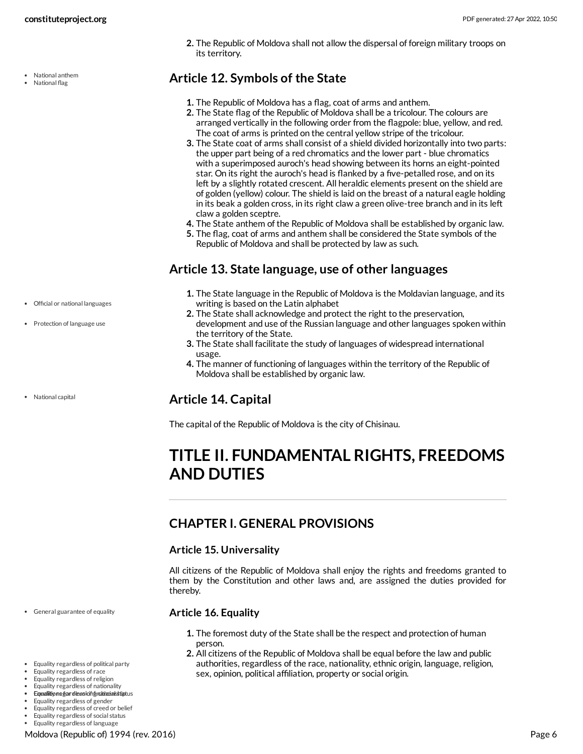National anthem National flag

**2.** The Republic of Moldova shall not allow the dispersal of foreign military troops on its territory.

# <span id="page-5-0"></span>**Article 12. Symbols of the State**

- **1.** The Republic of Moldova has a flag, coat of arms and anthem.
- **2.** The State flag of the Republic of Moldova shall be a tricolour. The colours are arranged vertically in the following order from the flagpole: blue, yellow, and red. The coat of arms is printed on the central yellow stripe of the tricolour.
- **3.** The State coat of arms shall consist of a shield divided horizontally into two parts: the upper part being of a red chromatics and the lower part - blue chromatics with a superimposed auroch's head showing between its horns an eight-pointed star. On its right the auroch's head is flanked by a five-petalled rose, and on its left by a slightly rotated crescent. All heraldic elements present on the shield are of golden (yellow) colour. The shield is laid on the breast of a natural eagle holding in its beak a golden cross, in its right claw a green olive-tree branch and in its left claw a golden sceptre.
- **4.** The State anthem of the Republic of Moldova shall be established by organic law.
- **5.** The flag, coat of arms and anthem shall be considered the State symbols of the Republic of Moldova and shall be protected by law as such.

# <span id="page-5-1"></span>**Article 13. State language, use of other languages**

- **1.** The State language in the Republic of Moldova is the Moldavian language, and its writing is based on the Latin alphabet
- **2.** The State shall acknowledge and protect the right to the preservation, development and use of the Russian language and other languages spoken within the territory of the State.
- **3.** The State shall facilitate the study of languages of widespread international usage.
- **4.** The manner of functioning of languages within the territory of the Republic of Moldova shall be established by organic law.

# <span id="page-5-2"></span>**Article 14. Capital**

The capital of the Republic of Moldova is the city of Chisinau.

# <span id="page-5-3"></span>**TITLE II. FUNDAMENTAL RIGHTS, FREEDOMS AND DUTIES**

# <span id="page-5-4"></span>**CHAPTER I. GENERAL PROVISIONS**

### **Article 15. Universality**

All citizens of the Republic of Moldova shall enjoy the rights and freedoms granted to them by the Constitution and other laws and, are assigned the duties provided for thereby.

### <span id="page-5-6"></span>**Article 16. Equality**

- **1.** The foremost duty of the State shall be the respect and protection of human person.
- <span id="page-5-5"></span>**2.** All citizens of the Republic of Moldova shall be equal before the law and public authorities, regardless of the race, nationality, ethnic origin, language, religion, sex, opinion, political affiliation, property or social origin.

Official or national languages

• Protection of language use

• National capital

General guarantee of equality

- Equality regardless of political party
- Equality regardless of race
- Equality regardless of religion Equality regardless of nationality
- Equaliitione gar dessolong ratinaistiptus
- Equality regardless of gender
- Equality regardless of creed or belief
- Equality regardless of social status Equality regardless of language

Moldova (Republic of) 1994 (rev. 2016) Page 6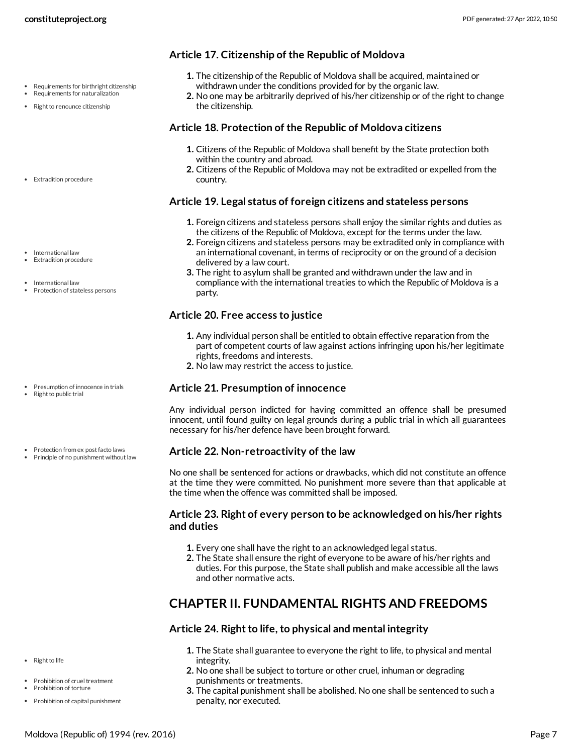- Requirements for birthright citizenship Requirements for naturalization
- Right to renounce citizenship
- Extradition procedure
- International law Extradition procedure
- 
- International law
- Protection of stateless persons

- Presumption of innocence in trials
- Right to public trial
- Protection from ex post facto laws
- Principle of no punishment without law

• Right to life

- Prohibition of cruel treatment Prohibition of torture
- Prohibition of capital punishment
- 

### **Article 17. Citizenship of the Republic of Moldova**

- **1.** The citizenship of the Republic of Moldova shall be acquired, maintained or withdrawn under the conditions provided for by the organic law.
- **2.** No one may be arbitrarily deprived of his/her citizenship or of the right to change the citizenship.

### <span id="page-6-1"></span>**Article 18. Protection of the Republic of Moldova citizens**

- **1.** Citizens of the Republic of Moldova shall benefit by the State protection both within the country and abroad.
- **2.** Citizens of the Republic of Moldova may not be extradited or expelled from the country.

### <span id="page-6-2"></span>**Article 19. Legal status of foreign citizens and stateless persons**

- **1.** Foreign citizens and stateless persons shall enjoy the similar rights and duties as the citizens of the Republic of Moldova, except for the terms under the law.
- **2.** Foreign citizens and stateless persons may be extradited only in compliance with an international covenant, in terms of reciprocity or on the ground of a decision delivered by a law court.
- **3.** The right to asylum shall be granted and withdrawn under the law and in compliance with the international treaties to which the Republic of Moldova is a party.

### **Article 20. Free access to justice**

- **1.** Any individual person shall be entitled to obtain effective reparation from the part of competent courts of law against actions infringing upon his/her legitimate rights, freedoms and interests.
- **2.** No law may restrict the access to justice.

### <span id="page-6-3"></span>**Article 21. Presumption of innocence**

Any individual person indicted for having committed an offence shall be presumed innocent, until found guilty on legal grounds during a public trial in which all guarantees necessary for his/her defence have been brought forward.

### <span id="page-6-4"></span>**Article 22. Non-retroactivity of the law**

No one shall be sentenced for actions or drawbacks, which did not constitute an offence at the time they were committed. No punishment more severe than that applicable at the time when the offence was committed shall be imposed.

### **Article 23. Right of every person to be acknowledged on his/her rights and duties**

- **1.** Every one shall have the right to an acknowledged legal status.
- **2.** The State shall ensure the right of everyone to be aware of his/her rights and duties. For this purpose, the State shall publish and make accessible all the laws and other normative acts.

# <span id="page-6-0"></span>**CHAPTER II. FUNDAMENTAL RIGHTS AND FREEDOMS**

### <span id="page-6-5"></span>**Article** 24. Right to life, to physical and mental integrity

- **1.** The State shall guarantee to everyone the right to life, to physical and mental integrity.
- **2.** No one shall be subject to torture or other cruel, inhuman or degrading punishments or treatments.
- **3.** The capital punishment shall be abolished. No one shall be sentenced to such a penalty, nor executed.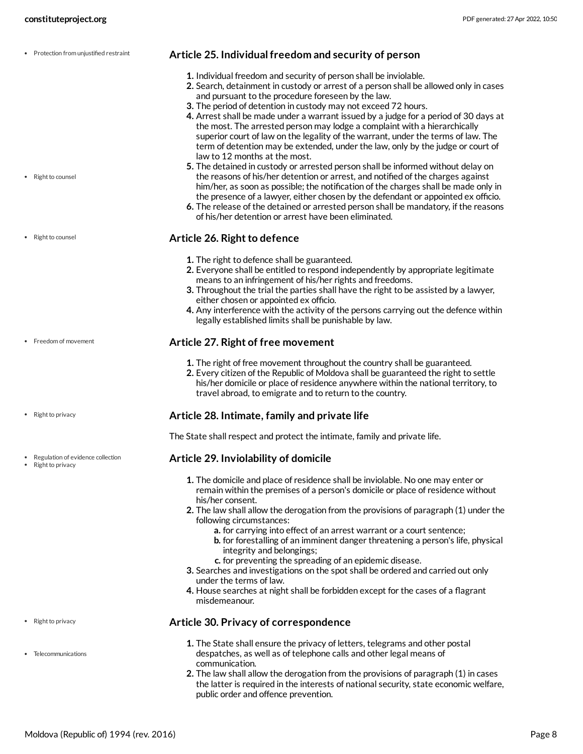<span id="page-7-1"></span>**Article 25. Individual freedom and security of person 1.** Individual freedom and security of person shall be inviolable. **2.** Search, detainment in custody or arrest of a person shall be allowed only in cases and pursuant to the procedure foreseen by the law. **3.** The period of detention in custody may not exceed 72 hours. **4.** Arrest shall be made under a warrant issued by a judge for a period of 30 days at the most. The arrested person may lodge a complaint with a hierarchically superior court of law on the legality of the warrant, under the terms of law. The term of detention may be extended, under the law, only by the judge or court of law to 12 months at the most. **5.** The detained in custody or arrested person shall be informed without delay on the reasons of his/her detention or arrest, and notified of the charges against him/her, as soon as possible; the notification of the charges shall be made only in the presence of a lawyer, either chosen by the defendant or appointed ex officio. **6.** The release of the detained or arrested person shall be mandatory, if the reasons of his/her detention or arrest have been eliminated. • Protection from uniustified restraint • Right to counsel

### **Article 26. Right to defence**

- **1.** The right to defence shall be guaranteed.
- **2.** Everyone shall be entitled to respond independently by appropriate legitimate means to an infringement of his/her rights and freedoms.
- **3.** Throughout the trial the parties shall have the right to be assisted by a lawyer, either chosen or appointed ex officio.
- **4.** Any interference with the activity of the persons carrying out the defence within legally established limits shall be punishable by law.

### <span id="page-7-0"></span>**Article 27. Right of free movement**

- **1.** The right of free movement throughout the country shall be guaranteed.
- **2.** Every citizen of the Republic of Moldova shall be guaranteed the right to settle his/her domicile or place of residence anywhere within the national territory, to travel abroad, to emigrate and to return to the country.

### <span id="page-7-3"></span>**Article 28. Intimate, family and private life**

The State shall respect and protect the intimate, family and private life.

### <span id="page-7-2"></span>**Article 29. Inviolability of domicile**

- **1.** The domicile and place of residence shall be inviolable. No one may enter or remain within the premises of a person's domicile or place of residence without his/her consent.
- **2.** The law shall allow the derogation from the provisions of paragraph (1) under the following circumstances:
	- **a.** for carrying into effect of an arrest warrant or a court sentence;
	- **b.** for forestalling of an imminent danger threatening a person's life, physical integrity and belongings;
	- **c.** for preventing the spreading of an epidemic disease.
- **3.** Searches and investigations on the spot shall be ordered and carried out only under the terms of law.
- **4.** House searches at night shall be forbidden except for the cases of a flagrant misdemeanour.

### <span id="page-7-4"></span>**Article 30. Privacy of correspondence**

- **1.** The State shall ensure the privacy of letters, telegrams and other postal despatches, as well as of telephone calls and other legal means of communication.
- **2.** The law shall allow the derogation from the provisions of paragraph (1) in cases the latter is required in the interests of national security, state economic welfare, public order and offence prevention.

• Right to counsel

• Freedom of movement

• Right to privacy

Regulation of evidence collection

Right to privacy

- Right to privacy
- Telecommunications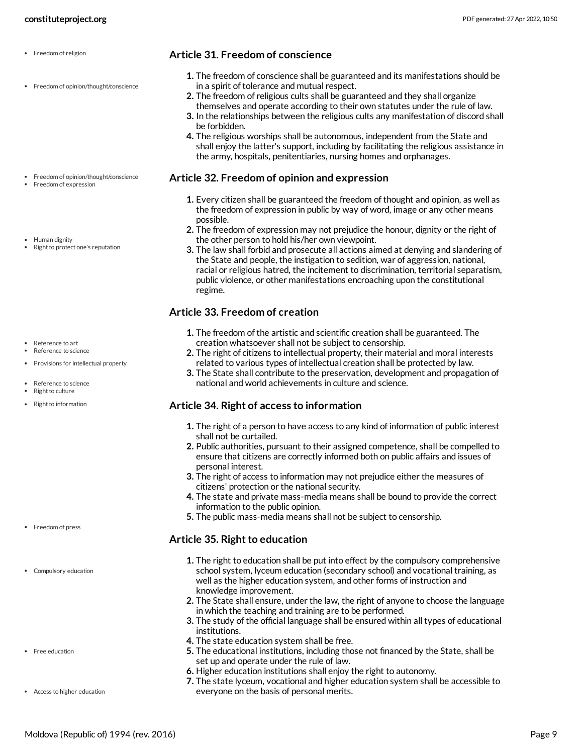• Freedom of opinion/thought/conscience

Freedom of opinion/thought/conscience

Freedom of expression

Human dignity • Right to protect one's reputation

- Reference to art Reference to science
- Provisions for intellectual property
- Reference to science
- Right to culture
- Right to information

- Freedom of press
- Compulsory education
- Free education
- Access to higher education
- <span id="page-8-2"></span>**1.** The freedom of conscience shall be guaranteed and its manifestations should be in a spirit of tolerance and mutual respect.
- **2.** The freedom of religious cults shall be guaranteed and they shall organize themselves and operate according to their own statutes under the rule of law.
- **3.** In the relationships between the religious cults any manifestation of discord shall be forbidden.
- **4.** The religious worships shall be autonomous, independent from the State and shall enjoy the latter's support, including by facilitating the religious assistance in the army, hospitals, penitentiaries, nursing homes and orphanages.

### <span id="page-8-1"></span>**Article 32. Freedom of opinion and expression**

- **1.** Every citizen shall be guaranteed the freedom of thought and opinion, as well as the freedom of expression in public by way of word, image or any other means possible.
- **2.** The freedom of expression may not prejudice the honour, dignity or the right of the other person to hold his/her own viewpoint.
- **3.** The law shall forbid and prosecute all actions aimed at denying and slandering of the State and people, the instigation to sedition, war of aggression, national, racial or religious hatred, the incitement to discrimination, territorial separatism, public violence, or other manifestations encroaching upon the constitutional regime.

### <span id="page-8-4"></span>**Article 33. Freedom of creation**

- **1.** The freedom of the artistic and scientific creation shall be guaranteed. The creation whatsoever shall not be subject to censorship.
- **2.** The right of citizens to intellectual property, their material and moral interests related to various types of intellectual creation shall be protected by law.
- **3.** The State shall contribute to the preservation, development and propagation of national and world achievements in culture and science.

### <span id="page-8-3"></span>**Article 34. Right of access to information**

- **1.** The right of a person to have access to any kind of information of public interest shall not be curtailed.
- **2.** Public authorities, pursuant to their assigned competence, shall be compelled to ensure that citizens are correctly informed both on public affairs and issues of personal interest.
- **3.** The right of access to information may not prejudice either the measures of citizens' protection or the national security.
- **4.** The state and private mass-media means shall be bound to provide the correct information to the public opinion.
- **5.** The public mass-media means shall not be subject to censorship.

### <span id="page-8-0"></span>**Article 35. Right to education**

- **1.** The right to education shall be put into effect by the compulsory comprehensive school system, lyceum education (secondary school) and vocational training, as well as the higher education system, and other forms of instruction and knowledge improvement.
- **2.** The State shall ensure, under the law, the right of anyone to choose the language in which the teaching and training are to be performed.
- **3.** The study of the official language shall be ensured within all types of educational institutions.
- **4.** The state education system shall be free.
- **5.** The educational institutions, including those not financed by the State, shall be set up and operate under the rule of law.
- **6.** Higher education institutions shall enjoy the right to autonomy.
- **7.** The state lyceum, vocational and higher education system shall be accessible to everyone on the basis of personal merits.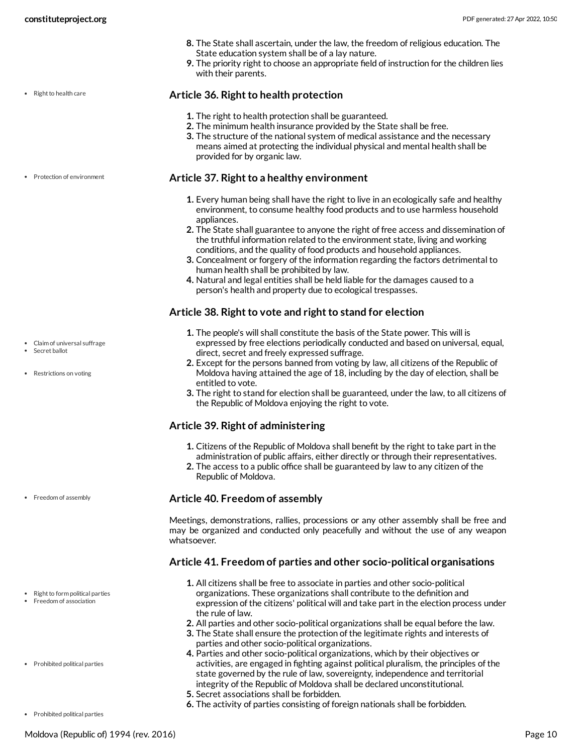- **8.** The State shall ascertain, under the law, the freedom of religious education. The State education system shall be of a lay nature.
- **9.** The priority right to choose an appropriate field of instruction for the children lies with their parents.

• Right to health care

- 
- Protection of environment

- Claim of universal suffrage
- Secret ballot
- Restrictions on voting

• Freedom of assembly

- Right to form political parties
- Freedom of association
- Prohibited political parties

Prohibited political parties

- 
- 

### <span id="page-9-4"></span>**Article 36. Right to health protection**

- **1.** The right to health protection shall be guaranteed.
- **2.** The minimum health insurance provided by the State shall be free.
- **3.** The structure of the national system of medical assistance and the necessary means aimed at protecting the individual physical and mental health shall be provided for by organic law.

### <span id="page-9-3"></span>**Article** 37. Right to a healthy environment

- **1.** Every human being shall have the right to live in an ecologically safe and healthy environment, to consume healthy food products and to use harmless household appliances.
- **2.** The State shall guarantee to anyone the right of free access and dissemination of the truthful information related to the environment state, living and working conditions, and the quality of food products and household appliances.
- **3.** Concealment or forgery of the information regarding the factors detrimental to human health shall be prohibited by law.
- **4.** Natural and legal entities shall be held liable for the damages caused to a person's health and property due to ecological trespasses.

### <span id="page-9-0"></span>**Article** 38. Right to vote and right to stand for election

- **1.** The people's will shall constitute the basis of the State power. This will is expressed by free elections periodically conducted and based on universal, equal, direct, secret and freely expressed suffrage.
- **2.** Except for the persons banned from voting by law, all citizens of the Republic of Moldova having attained the age of 18, including by the day of election, shall be entitled to vote.
- **3.** The right to stand for election shall be guaranteed, under the law, to all citizens of the Republic of Moldova enjoying the right to vote.

### **Article 39. Right of administering**

- **1.** Citizens of the Republic of Moldova shall benefit by the right to take part in the administration of public affairs, either directly or through their representatives.
- **2.** The access to a public office shall be guaranteed by law to any citizen of the Republic of Moldova.

### <span id="page-9-1"></span>**Article 40. Freedom of assembly**

Meetings, demonstrations, rallies, processions or any other assembly shall be free and may be organized and conducted only peacefully and without the use of any weapon whatsoever.

### <span id="page-9-2"></span>**Article 41. Freedom of parties and other socio-political organisations**

- **1.** All citizens shall be free to associate in parties and other socio-political organizations. These organizations shall contribute to the definition and expression of the citizens' political will and take part in the election process under the rule of law.
- **2.** All parties and other socio-political organizations shall be equal before the law.
- **3.** The State shall ensure the protection of the legitimate rights and interests of parties and other socio-political organizations.
- **4.** Parties and other socio-political organizations, which by their objectives or activities, are engaged in fighting against political pluralism, the principles of the state governed by the rule of law, sovereignty, independence and territorial integrity of the Republic of Moldova shall be declared unconstitutional.
- **5.** Secret associations shall be forbidden.
- **6.** The activity of parties consisting of foreign nationals shall be forbidden.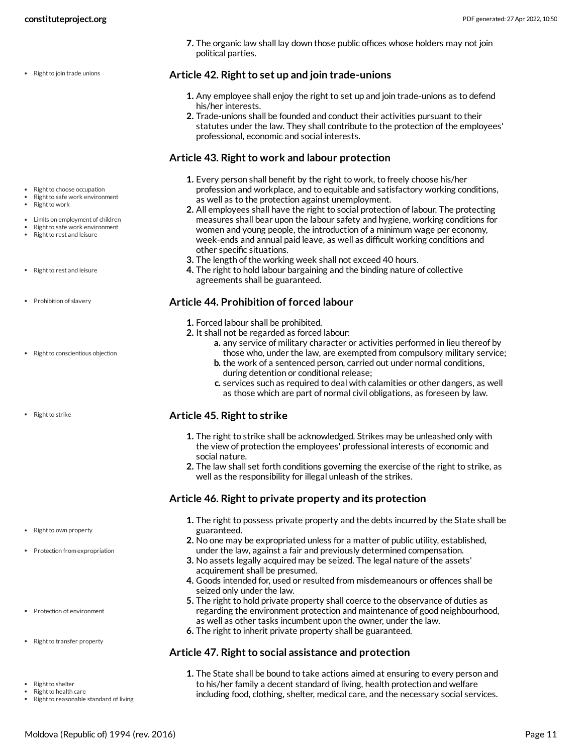• Right to join trade unions

**7.** The organic law shall lay down those public offices whose holders may not join political parties.

### <span id="page-10-4"></span>**Article** 42. Right to set up and join trade-unions

- **1.** Any employee shall enjoy the right to set up and join trade-unions as to defend his/her interests.
- **2.** Trade-unions shall be founded and conduct their activities pursuant to their statutes under the law. They shall contribute to the protection of the employees' professional, economic and social interests.

# <span id="page-10-0"></span>**Article 43. Right to work and labour protection**

- **1.** Every person shall benefit by the right to work, to freely choose his/her profession and workplace, and to equitable and satisfactory working conditions, as well as to the protection against unemployment.
- **2.** All employees shall have the right to social protection of labour. The protecting measures shall bear upon the labour safety and hygiene, working conditions for women and young people, the introduction of a minimum wage per economy, week-ends and annual paid leave, as well as difficult working conditions and other specific situations.
- **3.** The length of the working week shall not exceed 40 hours.
- **4.** The right to hold labour bargaining and the binding nature of collective agreements shall be guaranteed.

### <span id="page-10-1"></span>**Article 44. Prohibition of forced labour**

- **1.** Forced labour shall be prohibited.
- **2.** It shall not be regarded as forced labour:
	- **a.** any service of military character or activities performed in lieu thereof by those who, under the law, are exempted from compulsory military service;
	- **b.** the work of a sentenced person, carried out under normal conditions, during detention or conditional release;
	- **c.** services such as required to deal with calamities or other dangers, as well as those which are part of normal civil obligations, as foreseen by law.

# <span id="page-10-5"></span>**Article 45. Right to strike**

- **1.** The right to strike shall be acknowledged. Strikes may be unleashed only with the view of protection the employees' professional interests of economic and social nature.
- **2.** The law shall set forth conditions governing the exercise of the right to strike, as well as the responsibility for illegal unleash of the strikes.

# <span id="page-10-2"></span>**Article** 46. Right to private property and its protection

- **1.** The right to possess private property and the debts incurred by the State shall be guaranteed.
- **2.** No one may be expropriated unless for a matter of public utility, established, under the law, against a fair and previously determined compensation.
- **3.** No assets legally acquired may be seized. The legal nature of the assets' acquirement shall be presumed.
- **4.** Goods intended for, used or resulted from misdemeanours or offences shall be seized only under the law.
- **5.** The right to hold private property shall coerce to the observance of duties as regarding the environment protection and maintenance of good neighbourhood, as well as other tasks incumbent upon the owner, under the law.
- **6.** The right to inherit private property shall be guaranteed.

# <span id="page-10-3"></span>**Article** 47. Right to social assistance and protection

**1.** The State shall be bound to take actions aimed at ensuring to every person and to his/her family a decent standard of living, health protection and welfare including food, clothing, shelter, medical care, and the necessary social services.

- Right to choose occupation
- Right to safe work environment Right to work
- 
- Limits on employment of children Right to safe work environment
- Right to rest and leisure
- Right to rest and leisure
- Prohibition of slavery
- Right to conscientious objection
- Right to strike

- Right to own property
- Protection from expropriation
- Protection of environment
- Right to transfer property
- Right to shelter
- Right to health care
- Right to reasonable standard of living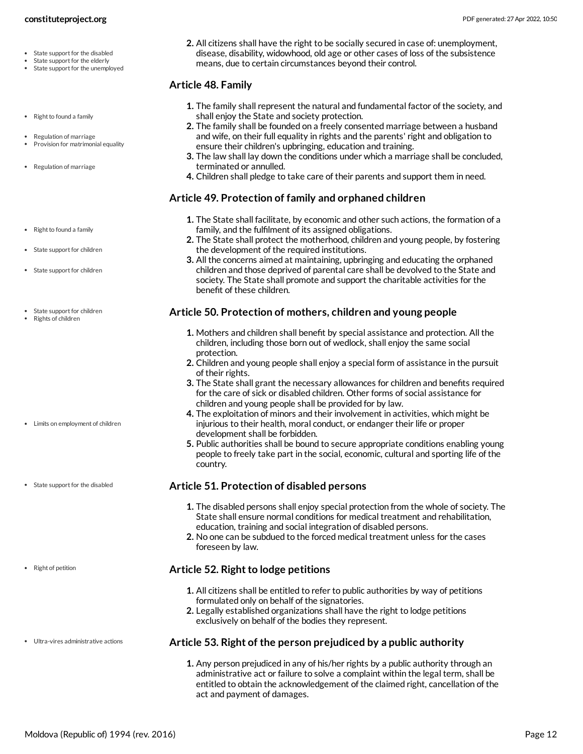- State support for the disabled
- State support for the elderly
- State support for the unemployed
- Right to found a family
- Regulation of marriage
- Provision for matrimonial equality
- Regulation of marriage
- Right to found a family
- State support for children
- State support for children
- State support for children
- Rights of children

- Limits on employment of children
- State support for the disabled

• Right of petition

Ultra-vires administrative actions

**2.** All citizens shall have the right to be socially secured in case of: unemployment, disease, disability, widowhood, old age or other cases of loss of the subsistence means, due to certain circumstances beyond their control.

### <span id="page-11-2"></span>**Article 48. Family**

- **1.** The family shall represent the natural and fundamental factor of the society, and shall enjoy the State and society protection.
- **2.** The family shall be founded on a freely consented marriage between a husband and wife, on their full equality in rights and the parents' right and obligation to ensure their children's upbringing, education and training.
- **3.** The law shall lay down the conditions under which a marriage shall be concluded, terminated or annulled.
- **4.** Children shall pledge to take care of their parents and support them in need.

### <span id="page-11-4"></span>**Article 49. Protection of family and orphaned children**

- **1.** The State shall facilitate, by economic and other such actions, the formation of a family, and the fulfilment of its assigned obligations.
- **2.** The State shall protect the motherhood, children and young people, by fostering the development of the required institutions.
- **3.** All the concerns aimed at maintaining, upbringing and educating the orphaned children and those deprived of parental care shall be devolved to the State and society. The State shall promote and support the charitable activities for the benefit of these children.

### <span id="page-11-0"></span>**Article 50. Protection of mothers, children and young people**

- **1.** Mothers and children shall benefit by special assistance and protection. All the children, including those born out of wedlock, shall enjoy the same social protection.
- **2.** Children and young people shall enjoy a special form of assistance in the pursuit of their rights.
- **3.** The State shall grant the necessary allowances for children and benefits required for the care of sick or disabled children. Other forms of social assistance for children and young people shall be provided for by law.
- **4.** The exploitation of minors and their involvement in activities, which might be injurious to their health, moral conduct, or endanger their life or proper development shall be forbidden.
- **5.** Public authorities shall be bound to secure appropriate conditions enabling young people to freely take part in the social, economic, cultural and sporting life of the country.

### <span id="page-11-5"></span>**Article 51. Protection of disabled persons**

- **1.** The disabled persons shall enjoy special protection from the whole of society. The State shall ensure normal conditions for medical treatment and rehabilitation, education, training and social integration of disabled persons.
- **2.** No one can be subdued to the forced medical treatment unless for the cases foreseen by law.

### <span id="page-11-3"></span>**Article 52. Right to lodge petitions**

- **1.** All citizens shall be entitled to refer to public authorities by way of petitions formulated only on behalf of the signatories.
- **2.** Legally established organizations shall have the right to lodge petitions exclusively on behalf of the bodies they represent.

### <span id="page-11-1"></span>**Article 53. Right of the person prejudiced by a public authority**

**1.** Any person prejudiced in any of his/her rights by a public authority through an administrative act or failure to solve a complaint within the legal term, shall be entitled to obtain the acknowledgement of the claimed right, cancellation of the act and payment of damages.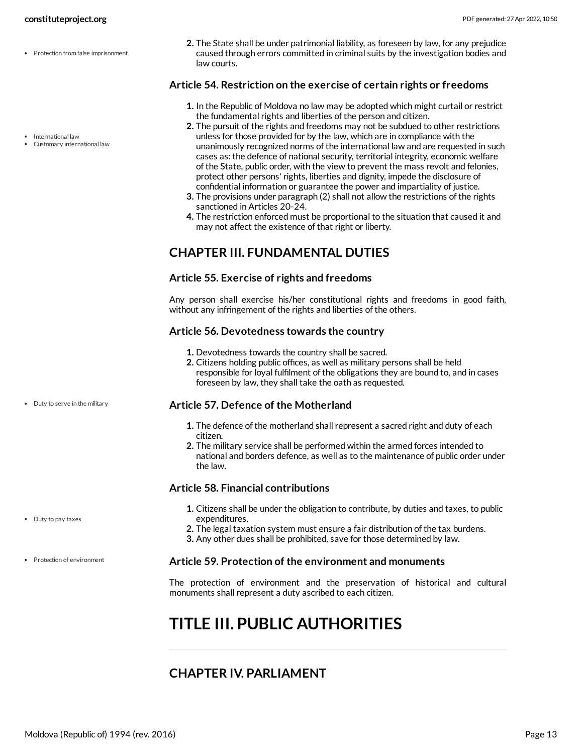- Protection from false imprisonment
	-
- International law
- Customary international law

Duty to serve in the military

Duty to pay taxes

Protection of environment

**2.** The State shall be under patrimonial liability, as foreseen by law, for any prejudice caused through errors committed in criminal suits by the investigation bodies and law courts.

### <span id="page-12-3"></span>**Article 54. Restriction on the exercise of certain rights or freedoms**

- **1.** In the Republic of Moldova no law may be adopted which might curtail or restrict the fundamental rights and liberties of the person and citizen.
- **2.** The pursuit of the rights and freedoms may not be subdued to other restrictions unless for those provided for by the law, which are in compliance with the unanimously recognized norms of the international law and are requested in such cases as: the defence of national security, territorial integrity, economic welfare of the State, public order, with the view to prevent the mass revolt and felonies, protect other persons' rights, liberties and dignity, impede the disclosure of confidential information or guarantee the power and impartiality of justice.
- **3.** The provisions under paragraph (2) shall not allow the restrictions of the rights sanctioned in Articles 20-24.
- **4.** The restriction enforced must be proportional to the situation that caused it and may not affect the existence of that right or liberty.

# <span id="page-12-0"></span>**CHAPTER III. FUNDAMENTAL DUTIES**

### **Article 55. Exercise of rights and freedoms**

Any person shall exercise his/her constitutional rights and freedoms in good faith, without any infringement of the rights and liberties of the others.

### **Article 56. Devotedness towards the country**

- **1.** Devotedness towards the country shall be sacred.
- **2.** Citizens holding public offices, as well as military persons shall be held responsible for loyal fulfilment of the obligations they are bound to, and in cases foreseen by law, they shall take the oath as requested.

### <span id="page-12-5"></span>**Article 57. Defence of the Motherland**

- **1.** The defence of the motherland shall represent a sacred right and duty of each citizen.
- **2.** The military service shall be performed within the armed forces intended to national and borders defence, as well as to the maintenance of public order under the law.

### <span id="page-12-4"></span>**Article 58. Financial contributions**

- **1.** Citizens shall be under the obligation to contribute, by duties and taxes, to public expenditures.
- **2.** The legal taxation system must ensure a fair distribution of the tax burdens.
- **3.** Any other dues shall be prohibited, save for those determined by law.

### <span id="page-12-6"></span>**Article 59. Protection of the environment and monuments**

The protection of environment and the preservation of historical and cultural monuments shall represent a duty ascribed to each citizen.

# <span id="page-12-1"></span>**TITLE III. PUBLIC AUTHORITIES**

# <span id="page-12-2"></span>**CHAPTER IV. PARLIAMENT**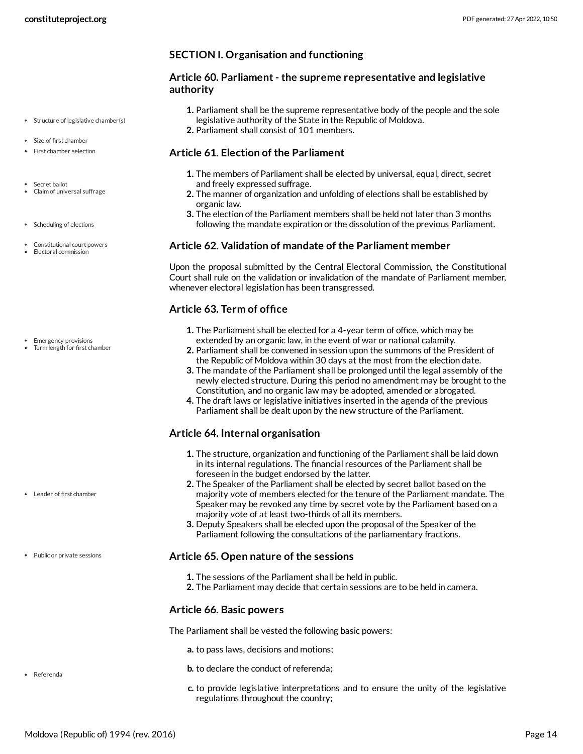- Structure of legislative chamber(s)
- Size of first chamber
- First chamber selection
- Secret ballot
- Claim of universal suffrage
- Scheduling of elections
- Constitutional court powers Electoral commission

- Emergency provisions
- Term length for first chamber

Leader of first chamber

Public or private sessions

Referenda

**SECTION I. Organisation and functioning**

### <span id="page-13-6"></span>**Article 60. Parliament- the supreme representative and legislative authority**

- **1.** Parliament shall be the supreme representative body of the people and the sole legislative authority of the State in the Republic of Moldova.
- **2.** Parliament shall consist of 101 members.

### <span id="page-13-0"></span>**Article 61. Election of the Parliament**

- **1.** The members of Parliament shall be elected by universal, equal, direct, secret and freely expressed suffrage.
- **2.** The manner of organization and unfolding of elections shall be established by organic law.
- **3.** The election of the Parliament members shall be held not later than 3 months following the mandate expiration or the dissolution of the previous Parliament.

### <span id="page-13-1"></span>**Article 62. Validation of mandate of the Parliament member**

Upon the proposal submitted by the Central Electoral Commission, the Constitutional Court shall rule on the validation or invalidation of the mandate of Parliament member, whenever electoral legislation has been transgressed.

# <span id="page-13-3"></span>**Article 63. Term of office**

- **1.** The Parliament shall be elected for a 4-year term of office, which may be extended by an organic law, in the event of war or national calamity.
- **2.** Parliament shall be convened in session upon the summons of the President of the Republic of Moldova within 30 days at the most from the election date.
- **3.** The mandate of the Parliament shall be prolonged until the legal assembly of the newly elected structure. During this period no amendment may be brought to the Constitution, and no organic law may be adopted, amended or abrogated.
- **4.** The draft laws or legislative initiatives inserted in the agenda of the previous Parliament shall be dealt upon by the new structure of the Parliament.

# <span id="page-13-4"></span>**Article 64. Internal organisation**

- **1.** The structure, organization and functioning of the Parliament shall be laid down in its internal regulations. The financial resources of the Parliament shall be foreseen in the budget endorsed by the latter.
- **2.** The Speaker of the Parliament shall be elected by secret ballot based on the majority vote of members elected for the tenure of the Parliament mandate. The Speaker may be revoked any time by secret vote by the Parliament based on a majority vote of at least two-thirds of all its members.
- **3.** Deputy Speakers shall be elected upon the proposal of the Speaker of the Parliament following the consultations of the parliamentary fractions.

# <span id="page-13-5"></span>**Article 65. Open nature of the sessions**

- **1.** The sessions of the Parliament shall be held in public.
- **2.** The Parliament may decide that certain sessions are to be held in camera.

# **Article 66. Basic powers**

<span id="page-13-2"></span>The Parliament shall be vested the following basic powers:

- **a.** to pass laws, decisions and motions;
- **b.** to declare the conduct of referenda;
- **c.** to provide legislative interpretations and to ensure the unity of the legislative regulations throughout the country;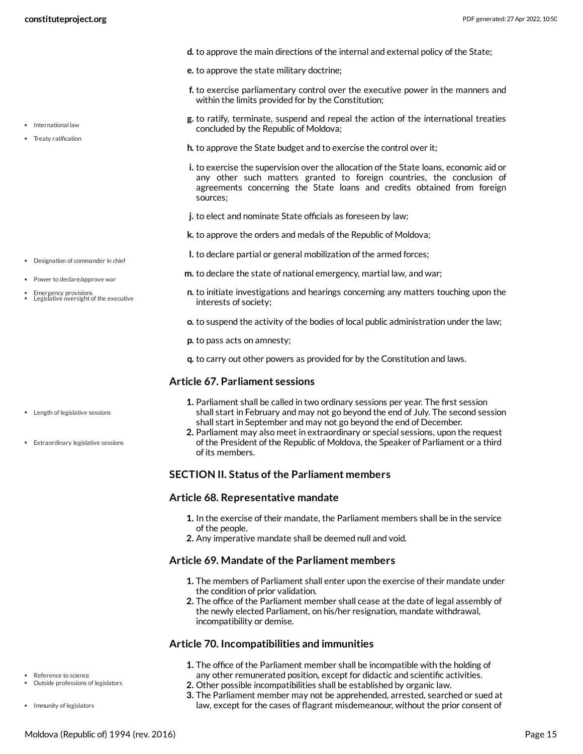• International law • Treaty ratification

- **d.** to approve the main directions of the internal and external policy of the State;
- **e.** to approve the state military doctrine;
- **f.** to exercise parliamentary control over the executive power in the manners and within the limits provided for by the Constitution;
- **g.** to ratify, terminate, suspend and repeal the action of the international treaties concluded by the Republic of Moldova;
- **h.** to approve the State budget and to exercise the control over it;
- **i.** to exercise the supervision over the allocation of the State loans, economic aid or any other such matters granted to foreign countries, the conclusion of agreements concerning the State loans and credits obtained from foreign sources;
- **j.** to elect and nominate State officials as foreseen by law;
- **k.** to approve the orders and medals of the Republic of Moldova;
- **l.** to declare partial or general mobilization of the armed forces;
- **m.** to declare the state of national emergency, martial law, and war;
- **n.** to initiate investigations and hearings concerning any matters touching upon the interests of society;
- **o.** to suspend the activity of the bodies of local public administration under the law;
- **p.** to pass acts on amnesty;
- **q.** to carry out other powers as provided for by the Constitution and laws.

### <span id="page-14-0"></span>**Article 67. Parliament sessions**

- **1.** Parliament shall be called in two ordinary sessions per year. The first session shall start in February and may not go beyond the end of July. The second session shall start in September and may not go beyond the end of December.
- **2.** Parliament may also meet in extraordinary or special sessions, upon the request of the President of the Republic of Moldova, the Speaker of Parliament or a third of its members.

### **SECTION II. Status of the Parliament members**

### **Article 68. Representative mandate**

- **1.** In the exercise of their mandate, the Parliament members shall be in the service of the people.
- **2.** Any imperative mandate shall be deemed null and void.

### **Article 69. Mandate of the Parliament members**

- **1.** The members of Parliament shall enter upon the exercise of their mandate under the condition of prior validation.
- **2.** The office of the Parliament member shall cease at the date of legal assembly of the newly elected Parliament, on his/her resignation, mandate withdrawal, incompatibility or demise.

### <span id="page-14-1"></span>**Article 70. Incompatibilities and immunities**

- **1.** The office of the Parliament member shall be incompatible with the holding of
- any other remunerated position, except for didactic and scientific activities.
- **2.** Other possible incompatibilities shall be established by organic law.
- **3.** The Parliament member may not be apprehended, arrested, searched or sued at law, except for the cases of flagrant misdemeanour, without the prior consent of
- Designation of commander in chief
- Power to declare/approve war
- Emergency provisions Legislative oversight of the executive

- Length of legislative sessions
- Extraordinary legislative sessions

- Reference to science Outside professions of legislators
- Immunity of legislators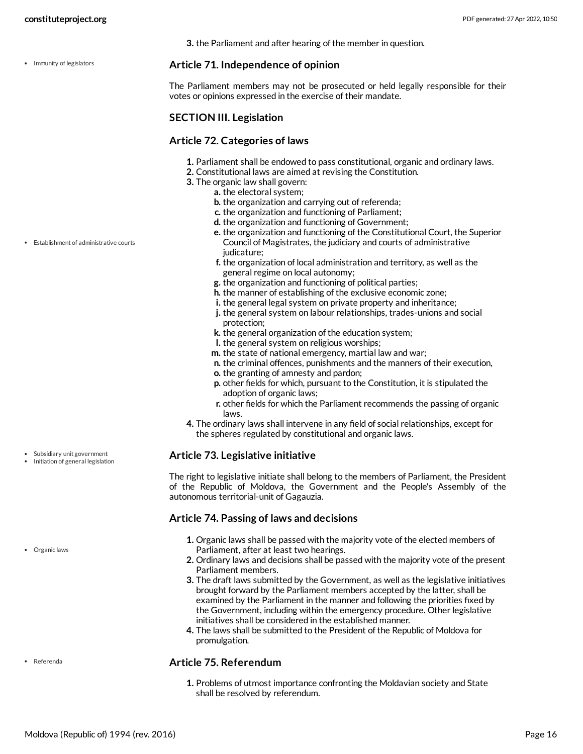• Immunity of legislators

**3.** the Parliament and after hearing of the member in question.

### <span id="page-15-1"></span>**Article 71. Independence of opinion**

The Parliament members may not be prosecuted or held legally responsible for their votes or opinions expressed in the exercise of their mandate.

### **SECTION III. Legislation**

### <span id="page-15-0"></span>**Article 72. Categories of laws**

- **1.** Parliament shall be endowed to pass constitutional, organic and ordinary laws.
- **2.** Constitutional laws are aimed at revising the Constitution.
- **3.** The organic law shall govern:
	- **a.** the electoral system;
		- **b.** the organization and carrying out of referenda;
		- **c.** the organization and functioning of Parliament;
		- **d.** the organization and functioning of Government;
		- **e.** the organization and functioning of the Constitutional Court, the Superior Council of Magistrates, the judiciary and courts of administrative judicature;
		- **f.** the organization of local administration and territory, as well as the general regime on local autonomy;
		- **g.** the organization and functioning of political parties;
		- **h.** the manner of establishing of the exclusive economic zone;
		- **i.** the general legal system on private property and inheritance;
		- **j.** the general system on labour relationships, trades-unions and social protection;
		- **k.** the general organization of the education system;
		- **l.** the general system on religious worships;
		- **m.** the state of national emergency, martial law and war;
		- **n.** the criminal offences, punishments and the manners of their execution,
		- **o.** the granting of amnesty and pardon;
		- **p.** other fields for which, pursuant to the Constitution, it is stipulated the adoption of organic laws;
		- **r.** other fields for which the Parliament recommends the passing of organic laws.
- **4.** The ordinary laws shall intervene in any field of social relationships, except for the spheres regulated by constitutional and organic laws.

### <span id="page-15-2"></span>**Article 73. Legislative initiative**

The right to legislative initiate shall belong to the members of Parliament, the President of the Republic of Moldova, the Government and the People's Assembly of the autonomous territorial-unit of Gagauzia.

### <span id="page-15-3"></span>**Article 74. Passing of laws and decisions**

- **1.** Organic laws shall be passed with the majority vote of the elected members of Parliament, after at least two hearings.
- **2.** Ordinary laws and decisions shall be passed with the majority vote of the present Parliament members.
- **3.** The draft laws submitted by the Government, as well as the legislative initiatives brought forward by the Parliament members accepted by the latter, shall be examined by the Parliament in the manner and following the priorities fixed by the Government, including within the emergency procedure. Other legislative initiatives shall be considered in the established manner.
- **4.** The laws shall be submitted to the President of the Republic of Moldova for promulgation.

### <span id="page-15-4"></span>**Article 75. Referendum**

**1.** Problems of utmost importance confronting the Moldavian society and State shall be resolved by referendum.

Establishment of administrative courts

Subsidiary unit government Initiation of general legislation

Organic laws

Referenda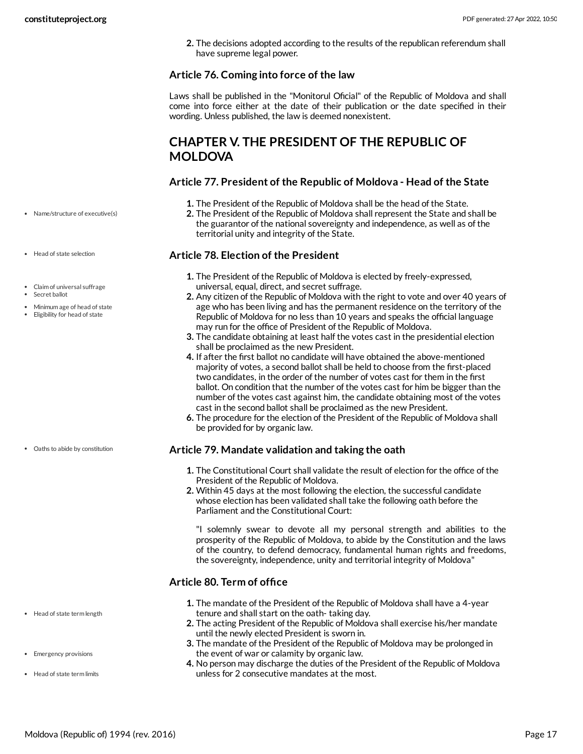**2.** The decisions adopted according to the results of the republican referendum shall have supreme legal power.

### **Article 76. Coming into force of the law**

Laws shall be published in the "Monitorul Oficial" of the Republic of Moldova and shall come into force either at the date of their publication or the date specified in their wording. Unless published, the law is deemed nonexistent.

# <span id="page-16-0"></span>**CHAPTER V. THE PRESIDENT OF THE REPUBLIC OF MOLDOVA**

### <span id="page-16-4"></span>**Article 77. President of the Republic of Moldova - Head of the State**

- **1.** The President of the Republic of Moldova shall be the head of the State.
- **2.** The President of the Republic of Moldova shall represent the State and shall be the guarantor of the national sovereignty and independence, as well as of the territorial unity and integrity of the State.

### <span id="page-16-1"></span>**Article 78. Election of the President**

- **1.** The President of the Republic of Moldova is elected by freely-expressed, universal, equal, direct, and secret suffrage.
- **2.** Any citizen of the Republic of Moldova with the right to vote and over 40 years of age who has been living and has the permanent residence on the territory of the Republic of Moldova for no less than 10 years and speaks the official language may run for the office of President of the Republic of Moldova.
- **3.** The candidate obtaining at least half the votes cast in the presidential election shall be proclaimed as the new President.
- **4.** If after the first ballot no candidate will have obtained the above-mentioned majority of votes, a second ballot shall be held to choose from the first-placed two candidates, in the order of the number of votes cast for them in the first ballot. On condition that the number of the votes cast for him be bigger than the number of the votes cast against him, the candidate obtaining most of the votes cast in the second ballot shall be proclaimed as the new President.
- **6.** The procedure for the election of the President of the Republic of Moldova shall be provided for by organic law.

### <span id="page-16-5"></span>**Article 79. Mandate validation and taking the oath**

- **1.** The Constitutional Court shall validate the result of election for the office of the President of the Republic of Moldova.
- **2.** Within 45 days at the most following the election, the successful candidate whose election has been validated shall take the following oath before the Parliament and the Constitutional Court:

"I solemnly swear to devote all my personal strength and abilities to the prosperity of the Republic of Moldova, to abide by the Constitution and the laws of the country, to defend democracy, fundamental human rights and freedoms, the sovereignty, independence, unity and territorial integrity of Moldova"

### <span id="page-16-2"></span>**Article 80. Term of office**

- **1.** The mandate of the President of the Republic of Moldova shall have a 4-year tenure and shall start on the oath- taking day.
- **2.** The acting President of the Republic of Moldova shall exercise his/her mandate until the newly elected President is sworn in.
- **3.** The mandate of the President of the Republic of Moldova may be prolonged in the event of war or calamity by organic law.
- <span id="page-16-3"></span>**4.** No person may discharge the duties of the President of the Republic of Moldova unless for 2 consecutive mandates at the most.

Name/structure of executive(s)

- Head of state selection
- Claim of universal suffrage
- Secret ballot
- Minimum age of head of state
- Eligibility for head of state

Oaths to abide by constitution

- Head of state term length
- Emergency provisions
- Head of state term limits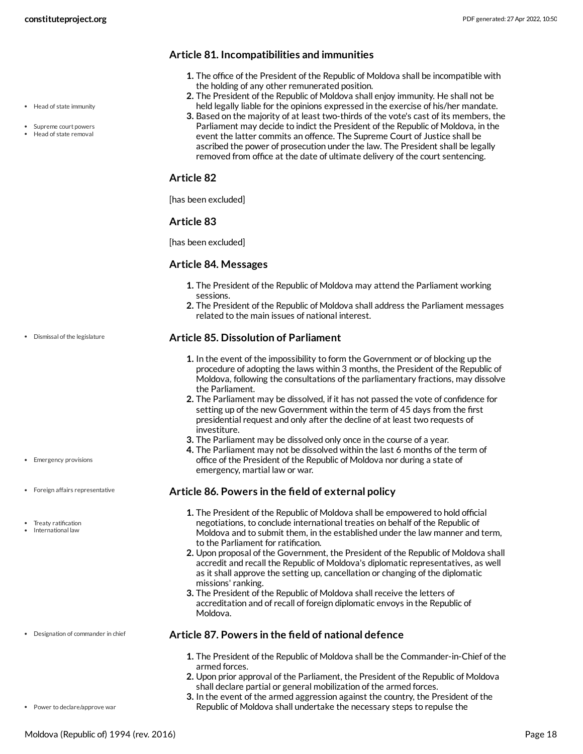- Head of state immunity
- Supreme court powers Head of state removal

### **Article 81. Incompatibilities and immunities**

- **1.** The office of the President of the Republic of Moldova shall be incompatible with the holding of any other remunerated position.
- **2.** The President of the Republic of Moldova shall enjoy immunity. He shall not be held legally liable for the opinions expressed in the exercise of his/her mandate.
- **3.** Based on the majority of at least two-thirds of the vote's cast of its members, the Parliament may decide to indict the President of the Republic of Moldova, in the event the latter commits an offence. The Supreme Court of Justice shall be ascribed the power of prosecution under the law. The President shall be legally removed from office at the date of ultimate delivery of the court sentencing.

### **Article 82**

[has been excluded]

### **Article 83**

[has been excluded]

### **Article 84. Messages**

- **1.** The President of the Republic of Moldova may attend the Parliament working sessions.
- **2.** The President of the Republic of Moldova shall address the Parliament messages related to the main issues of national interest.

### <span id="page-17-1"></span>**Article 85. Dissolution of Parliament**

- **1.** In the event of the impossibility to form the Government or of blocking up the procedure of adopting the laws within 3 months, the President of the Republic of Moldova, following the consultations of the parliamentary fractions, may dissolve the Parliament.
- **2.** The Parliament may be dissolved, if it has not passed the vote of confidence for setting up of the new Government within the term of 45 days from the first presidential request and only after the decline of at least two requests of investiture.
- **3.** The Parliament may be dissolved only once in the course of a year.
- **4.** The Parliament may not be dissolved within the last 6 months of the term of office of the President of the Republic of Moldova nor during a state of emergency, martial law or war.

### <span id="page-17-2"></span>**Article 86. Powers in the field of external policy**

- **1.** The President of the Republic of Moldova shall be empowered to hold official negotiations, to conclude international treaties on behalf of the Republic of Moldova and to submit them, in the established under the law manner and term, to the Parliament for ratification.
- **2.** Upon proposal of the Government, the President of the Republic of Moldova shall accredit and recall the Republic of Moldova's diplomatic representatives, as well as it shall approve the setting up, cancellation or changing of the diplomatic missions' ranking.
- **3.** The President of the Republic of Moldova shall receive the letters of accreditation and of recall of foreign diplomatic envoys in the Republic of Moldova.

### <span id="page-17-0"></span>**Article 87. Powers in the field of national defence**

- **1.** The President of the Republic of Moldova shall be the Commander-in-Chief of the armed forces.
- **2.** Upon prior approval of the Parliament, the President of the Republic of Moldova shall declare partial or general mobilization of the armed forces.
- **3.** In the event of the armed aggression against the country, the President of the Republic of Moldova shall undertake the necessary steps to repulse the

• Emergency provisions

Dismissal of the legislature

- Foreign affairs representative
- Treaty ratification
- International law

Power to declare/approve war

Designation of commander in chief

Moldova (Republic of) 1994 (rev. 2016) Page 18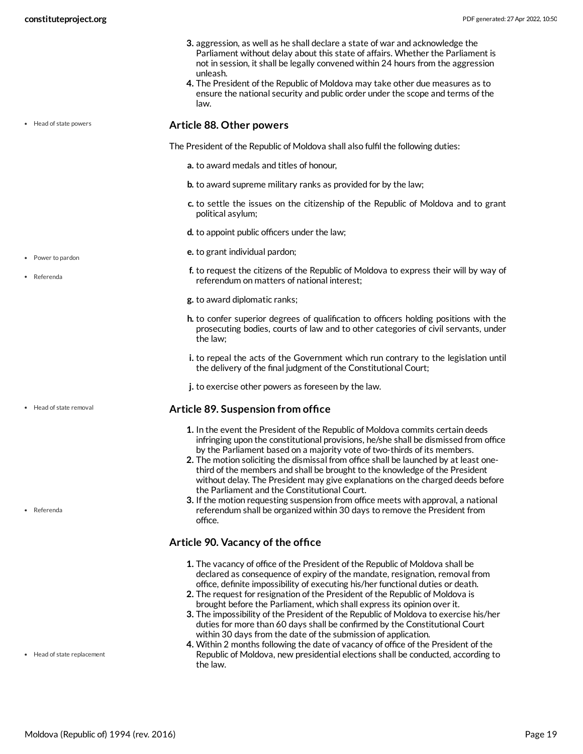• Head of state powers

- **3.** aggression, as well as he shall declare a state of war and acknowledge the Parliament without delay about this state of affairs. Whether the Parliament is not in session, it shall be legally convened within 24 hours from the aggression unleash.
- **4.** The President of the Republic of Moldova may take other due measures as to ensure the national security and public order under the scope and terms of the law.

### <span id="page-18-0"></span>**Article 88. Other powers**

<span id="page-18-3"></span>The President of the Republic of Moldova shall also fulfil the following duties:

- **a.** to award medals and titles of honour,
- **b.** to award supreme military ranks as provided for by the law;
- **c.** to settle the issues on the citizenship of the Republic of Moldova and to grant political asylum;
- **d.** to appoint public officers under the law;
- **e.** to grant individual pardon;
- **f.** to request the citizens of the Republic of Moldova to express their will by way of referendum on matters of national interest;
- **g.** to award diplomatic ranks;
- **h.** to confer superior degrees of qualification to officers holding positions with the prosecuting bodies, courts of law and to other categories of civil servants, under the law;
- **i.** to repeal the acts of the Government which run contrary to the legislation until the delivery of the final judgment of the Constitutional Court;
- **j.** to exercise other powers as foreseen by the law.

### <span id="page-18-1"></span>**Article 89. Suspension from office**

- **1.** In the event the President of the Republic of Moldova commits certain deeds infringing upon the constitutional provisions, he/she shall be dismissed from office by the Parliament based on a majority vote of two-thirds of its members.
- **2.** The motion soliciting the dismissal from office shall be launched by at least onethird of the members and shall be brought to the knowledge of the President without delay. The President may give explanations on the charged deeds before the Parliament and the Constitutional Court.
- **3.** If the motion requesting suspension from office meets with approval, a national referendum shall be organized within 30 days to remove the President from office.

### <span id="page-18-2"></span>**Article 90. Vacancy of the office**

- **1.** The vacancy of office of the President of the Republic of Moldova shall be declared as consequence of expiry of the mandate, resignation, removal from office, definite impossibility of executing his/her functional duties or death.
- **2.** The request for resignation of the President of the Republic of Moldova is brought before the Parliament, which shall express its opinion over it.
- **3.** The impossibility of the President of the Republic of Moldova to exercise his/her duties for more than 60 days shall be confirmed by the Constitutional Court within 30 days from the date of the submission of application.
- **4.** Within 2 months following the date of vacancy of office of the President of the Republic of Moldova, new presidential elections shall be conducted, according to the law.

Power to pardon

Referenda

• Head of state removal

Referenda

• Head of state replacement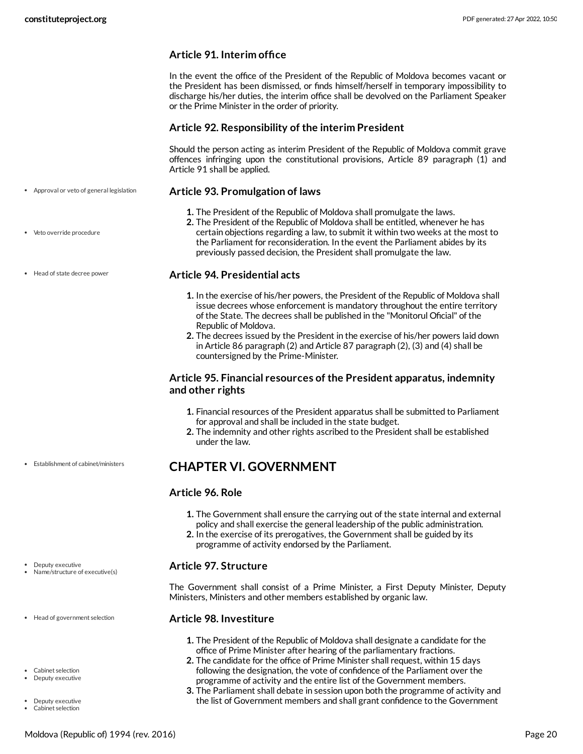### **Article 91. Interim office**

In the event the office of the President of the Republic of Moldova becomes vacant or the President has been dismissed, or finds himself/herself in temporary impossibility to discharge his/her duties, the interim office shall be devolved on the Parliament Speaker or the Prime Minister in the order of priority.

### **Article 92. Responsibility of the interim President**

Should the person acting as interim President of the Republic of Moldova commit grave offences infringing upon the constitutional provisions, Article 89 paragraph (1) and Article 91 shall be applied.

### <span id="page-19-1"></span>**Article 93. Promulgation of laws**

- **1.** The President of the Republic of Moldova shall promulgate the laws.
- **2.** The President of the Republic of Moldova shall be entitled, whenever he has certain objections regarding a law, to submit it within two weeks at the most to the Parliament for reconsideration. In the event the Parliament abides by its previously passed decision, the President shall promulgate the law.

### <span id="page-19-4"></span>**Article 94. Presidential acts**

- **1.** In the exercise of his/her powers, the President of the Republic of Moldova shall issue decrees whose enforcement is mandatory throughout the entire territory of the State. The decrees shall be published in the "Monitorul Oficial" of the Republic of Moldova.
- **2.** The decrees issued by the President in the exercise of his/her powers laid down in Article 86 paragraph (2) and Article 87 paragraph (2), (3) and (4) shall be countersigned by the Prime-Minister.

### **Article 95. Financial resources of the President apparatus, indemnity and other rights**

- **1.** Financial resources of the President apparatus shall be submitted to Parliament for approval and shall be included in the state budget.
- **2.** The indemnity and other rights ascribed to the President shall be established under the law.

# <span id="page-19-0"></span>**CHAPTER VI. GOVERNMENT**

### **Article 96. Role**

- **1.** The Government shall ensure the carrying out of the state internal and external policy and shall exercise the general leadership of the public administration.
- **2.** In the exercise of its prerogatives, the Government shall be guided by its programme of activity endorsed by the Parliament.

### <span id="page-19-3"></span>**Article 97. Structure**

The Government shall consist of a Prime Minister, a First Deputy Minister, Deputy Ministers, Ministers and other members established by organic law.

### <span id="page-19-2"></span>**Article 98. Investiture**

- **1.** The President of the Republic of Moldova shall designate a candidate for the office of Prime Minister after hearing of the parliamentary fractions.
- **2.** The candidate for the office of Prime Minister shall request, within 15 days following the designation, the vote of confidence of the Parliament over the programme of activity and the entire list of the Government members.
- **3.** The Parliament shall debate in session upon both the programme of activity and the list of Government members and shall grant confidence to the Government
- Approval or veto of general legislation
- Veto override procedure
- Head of state decree power

Establishment of cabinet/ministers

Name/structure of executive(s)

• Deputy executive

- Head of government selection
- Cabinet selection Deputy executive
- Deputy executive
- Cabinet selection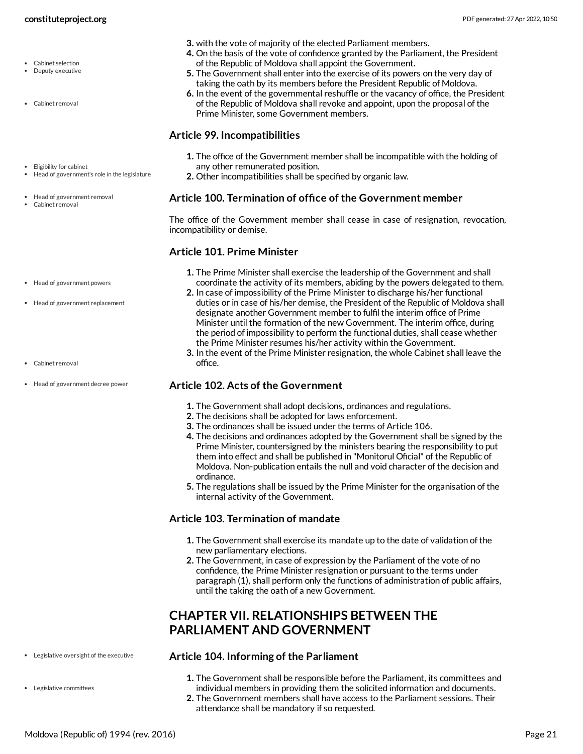- Cabinet selection
- Deputy executive
- Cabinet removal
- Eligibility for cabinet Head of government's role in the legislature
- Head of government removal
- Cabinet removal
- **3.** with the vote of majority of the elected Parliament members.
- **4.** On the basis of the vote of confidence granted by the Parliament, the President of the Republic of Moldova shall appoint the Government.
- **5.** The Government shall enter into the exercise of its powers on the very day of taking the oath by its members before the President Republic of Moldova.
- **6.** In the event of the governmental reshuffle or the vacancy of office, the President of the Republic of Moldova shall revoke and appoint, upon the proposal of the Prime Minister, some Government members.

### <span id="page-20-2"></span>**Article 99. Incompatibilities**

- **1.** The office of the Government member shall be incompatible with the holding of any other remunerated position.
- **2.** Other incompatibilities shall be specified by organic law.

### <span id="page-20-1"></span>**Article 100. Termination of office of the Government member**

The office of the Government member shall cease in case of resignation, revocation, incompatibility or demise.

### <span id="page-20-4"></span>**Article 101. Prime Minister**

- **1.** The Prime Minister shall exercise the leadership of the Government and shall coordinate the activity of its members, abiding by the powers delegated to them.
- **2.** In case of impossibility of the Prime Minister to discharge his/her functional duties or in case of his/her demise, the President of the Republic of Moldova shall designate another Government member to fulfil the interim office of Prime Minister until the formation of the new Government. The interim office, during the period of impossibility to perform the functional duties, shall cease whether the Prime Minister resumes his/her activity within the Government.
- **3.** In the event of the Prime Minister resignation, the whole Cabinet shall leave the office.

### <span id="page-20-3"></span>**Article 102. Acts of the Government**

- **1.** The Government shall adopt decisions, ordinances and regulations.
- **2.** The decisions shall be adopted for laws enforcement.
- **3.** The ordinances shall be issued under the terms of Article 106.
- **4.** The decisions and ordinances adopted by the Government shall be signed by the Prime Minister, countersigned by the ministers bearing the responsibility to put them into effect and shall be published in "Monitorul Oficial" of the Republic of Moldova. Non-publication entails the null and void character of the decision and ordinance.
- **5.** The regulations shall be issued by the Prime Minister for the organisation of the internal activity of the Government.

### **Article 103. Termination of mandate**

- **1.** The Government shall exercise its mandate up to the date of validation of the new parliamentary elections.
- **2.** The Government, in case of expression by the Parliament of the vote of no confidence, the Prime Minister resignation or pursuant to the terms under paragraph (1), shall perform only the functions of administration of public affairs, until the taking the oath of a new Government.

# <span id="page-20-0"></span>**CHAPTER VII. RELATIONSHIPS BETWEEN THE PARLIAMENT AND GOVERNMENT**

### <span id="page-20-5"></span>**Article 104. Informing of the Parliament**

- **1.** The Government shall be responsible before the Parliament, its committees and individual members in providing them the solicited information and documents.
- **2.** The Government members shall have access to the Parliament sessions. Their attendance shall be mandatory if so requested.

### Head of government powers

- Head of government replacement
- Cabinet removal
- Head of government decree power

Legislative oversight of the executive

Legislative committees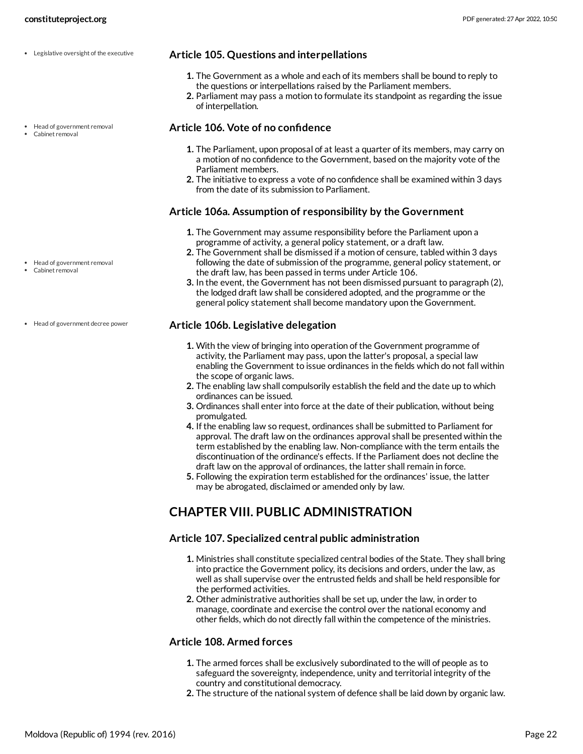Head of government removal

Head of government removal Cabinet removal

Head of government decree power

Cabinet removal

- <span id="page-21-3"></span>**Article 105. Questions and interpellations**
	- **1.** The Government as a whole and each of its members shall be bound to reply to the questions or interpellations raised by the Parliament members.
	- **2.** Parliament may pass a motion to formulate its standpoint as regarding the issue of interpellation.

### <span id="page-21-1"></span>**Article 106. Vote of no confidence**

- **1.** The Parliament, upon proposal of at least a quarter of its members, may carry on a motion of no confidence to the Government, based on the majority vote of the Parliament members.
- **2.** The initiative to express a vote of no confidence shall be examined within 3 days from the date of its submission to Parliament.

### **Article 106a. Assumption of responsibility by the Government**

- **1.** The Government may assume responsibility before the Parliament upon a programme of activity, a general policy statement, or a draft law.
- **2.** The Government shall be dismissed if a motion of censure, tabled within 3 days following the date of submission of the programme, general policy statement, or the draft law, has been passed in terms under Article 106.
- **3.** In the event, the Government has not been dismissed pursuant to paragraph (2), the lodged draft law shall be considered adopted, and the programme or the general policy statement shall become mandatory upon the Government.

### <span id="page-21-2"></span>**Article 106b. Legislative delegation**

- **1.** With the view of bringing into operation of the Government programme of activity, the Parliament may pass, upon the latter's proposal, a special law enabling the Government to issue ordinances in the fields which do not fall within the scope of organic laws.
- **2.** The enabling law shall compulsorily establish the field and the date up to which ordinances can be issued.
- **3.** Ordinances shall enter into force at the date of their publication, without being promulgated.
- **4.** If the enabling law so request, ordinances shall be submitted to Parliament for approval. The draft law on the ordinances approval shall be presented within the term established by the enabling law. Non-compliance with the term entails the discontinuation of the ordinance's effects. If the Parliament does not decline the draft law on the approval of ordinances, the latter shall remain in force.
- **5.** Following the expiration term established for the ordinances' issue, the latter may be abrogated, disclaimed or amended only by law.

# <span id="page-21-0"></span>**CHAPTER VIII. PUBLIC ADMINISTRATION**

### **Article 107. Specialized central public administration**

- **1.** Ministries shall constitute specialized central bodies of the State. They shall bring into practice the Government policy, its decisions and orders, under the law, as well as shall supervise over the entrusted fields and shall be held responsible for the performed activities.
- **2.** Other administrative authorities shall be set up, under the law, in order to manage, coordinate and exercise the control over the national economy and other fields, which do not directly fall within the competence of the ministries.

### **Article 108. Armed forces**

- **1.** The armed forces shall be exclusively subordinated to the will of people as to safeguard the sovereignty, independence, unity and territorial integrity of the country and constitutional democracy.
- **2.** The structure of the national system of defence shall be laid down by organic law.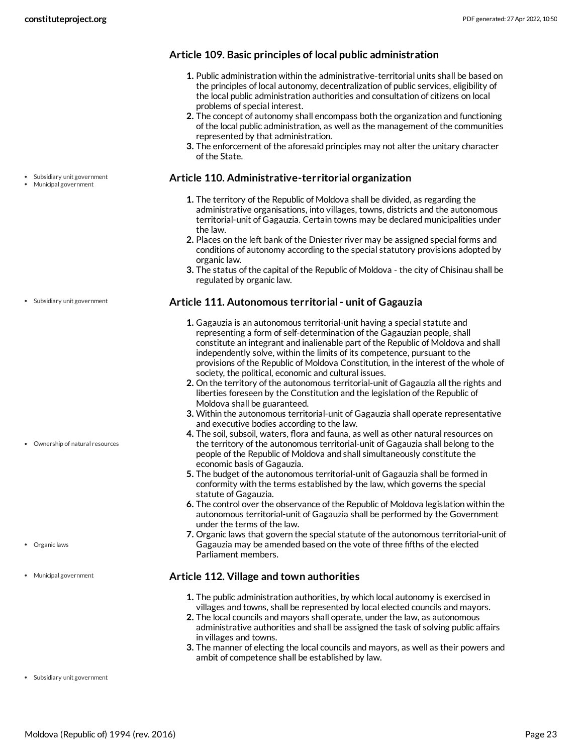**Article 109. Basic principles of local public administration**

- **1.** Public administration within the administrative-territorial units shall be based on the principles of local autonomy, decentralization of public services, eligibility of the local public administration authorities and consultation of citizens on local problems of special interest.
- **2.** The concept of autonomy shall encompass both the organization and functioning of the local public administration, as well as the management of the communities represented by that administration.
- **3.** The enforcement of the aforesaid principles may not alter the unitary character of the State.

### <span id="page-22-0"></span>**Article 110. Administrative-territorial organization**

- **1.** The territory of the Republic of Moldova shall be divided, as regarding the administrative organisations, into villages, towns, districts and the autonomous territorial-unit of Gagauzia. Certain towns may be declared municipalities under the law.
- **2.** Places on the left bank of the Dniester river may be assigned special forms and conditions of autonomy according to the special statutory provisions adopted by organic law.
- **3.** The status of the capital of the Republic of Moldova the city of Chisinau shall be regulated by organic law.

### <span id="page-22-1"></span>**Article 111. Autonomous territorial- unit of Gagauzia**

- **1.** Gagauzia is an autonomous territorial-unit having a special statute and representing a form of self-determination of the Gagauzian people, shall constitute an integrant and inalienable part of the Republic of Moldova and shall independently solve, within the limits of its competence, pursuant to the provisions of the Republic of Moldova Constitution, in the interest of the whole of society, the political, economic and cultural issues.
- **2.** On the territory of the autonomous territorial-unit of Gagauzia all the rights and liberties foreseen by the Constitution and the legislation of the Republic of Moldova shall be guaranteed.
- **3.** Within the autonomous territorial-unit of Gagauzia shall operate representative and executive bodies according to the law.
- **4.** The soil, subsoil, waters, flora and fauna, as well as other natural resources on the territory of the autonomous territorial-unit of Gagauzia shall belong to the people of the Republic of Moldova and shall simultaneously constitute the economic basis of Gagauzia.
- **5.** The budget of the autonomous territorial-unit of Gagauzia shall be formed in conformity with the terms established by the law, which governs the special statute of Gagauzia.
- **6.** The control over the observance of the Republic of Moldova legislation within the autonomous territorial-unit of Gagauzia shall be performed by the Government under the terms of the law.
- **7.** Organic laws that govern the special statute of the autonomous territorial-unit of Gagauzia may be amended based on the vote of three fifths of the elected Parliament members.

### **Article 112. Village and town authorities**

- **1.** The public administration authorities, by which local autonomy is exercised in villages and towns, shall be represented by local elected councils and mayors.
- **2.** The local councils and mayors shall operate, under the law, as autonomous administrative authorities and shall be assigned the task of solving public affairs in villages and towns.
- **3.** The manner of electing the local councils and mayors, as well as their powers and ambit of competence shall be established by law.

Subsidiary unit government

Subsidiary unit government Municipal government

Ownership of natural resources

- Organic laws
- Municipal government

Subsidiary unit government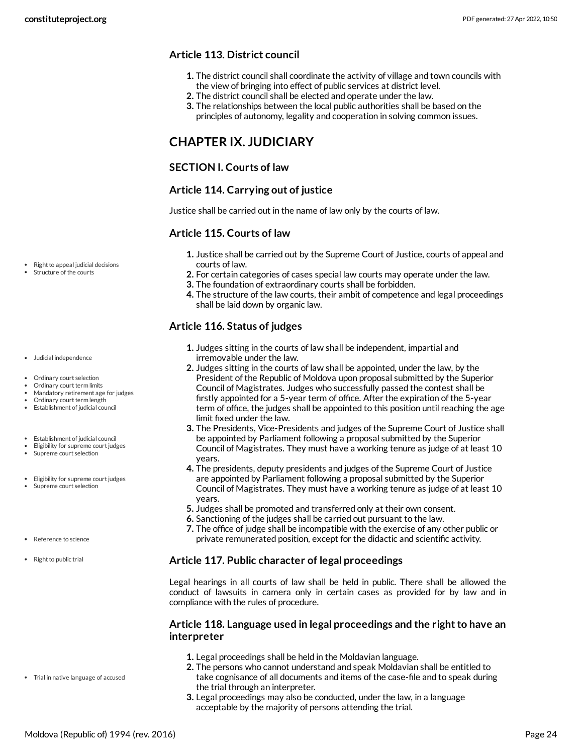### **Article 113. District council**

- **1.** The district council shall coordinate the activity of village and town councils with the view of bringing into effect of public services at district level.
- **2.** The district council shall be elected and operate under the law.
- **3.** The relationships between the local public authorities shall be based on the principles of autonomy, legality and cooperation in solving common issues.

# <span id="page-23-0"></span>**CHAPTER IX. JUDICIARY**

### **SECTION I. Courts of law**

### **Article 114. Carrying out of justice**

Justice shall be carried out in the name of law only by the courts of law.

### <span id="page-23-2"></span>**Article 115. Courts of law**

- **1.** Justice shall be carried out by the Supreme Court of Justice, courts of appeal and courts of law.
- **2.** For certain categories of cases special law courts may operate under the law.
- **3.** The foundation of extraordinary courts shall be forbidden.
- **4.** The structure of the law courts, their ambit of competence and legal proceedings shall be laid down by organic law.

### <span id="page-23-1"></span>**Article 116. Status of judges**

- **1.** Judges sitting in the courts of law shall be independent, impartial and irremovable under the law.
- **2.** Judges sitting in the courts of law shall be appointed, under the law, by the President of the Republic of Moldova upon proposal submitted by the Superior Council of Magistrates. Judges who successfully passed the contest shall be firstly appointed for a 5-year term of office. After the expiration of the 5-year term of office, the judges shall be appointed to this position until reaching the age limit fixed under the law.
- **3.** The Presidents, Vice-Presidents and judges of the Supreme Court of Justice shall be appointed by Parliament following a proposal submitted by the Superior Council of Magistrates. They must have a working tenure as judge of at least 10 years.
- **4.** The presidents, deputy presidents and judges of the Supreme Court of Justice are appointed by Parliament following a proposal submitted by the Superior Council of Magistrates. They must have a working tenure as judge of at least 10 years.
- **5.** Judges shall be promoted and transferred only at their own consent.
- **6.** Sanctioning of the judges shall be carried out pursuant to the law.
- **7.** The office of judge shall be incompatible with the exercise of any other public or private remunerated position, except for the didactic and scientific activity.

### <span id="page-23-3"></span>**Article 117. Public character of legal proceedings**

Legal hearings in all courts of law shall be held in public. There shall be allowed the conduct of lawsuits in camera only in certain cases as provided for by law and in compliance with the rules of procedure.

### <span id="page-23-4"></span>**Article 118. Language used in legal proceedings and the rightto have an interpreter**

- **1.** Legal proceedings shall be held in the Moldavian language.
- **2.** The persons who cannot understand and speak Moldavian shall be entitled to take cognisance of all documents and items of the case-file and to speak during the trial through an interpreter.
- **3.** Legal proceedings may also be conducted, under the law, in a language acceptable by the majority of persons attending the trial.
- Right to appeal judicial decisions
- Structure of the courts

- Judicial independence
- Ordinary court selection
- Ordinary court term limits
- Mandatory retirement age for judges Ordinary court term length
- Establishment of judicial council
- Establishment of judicial council
- Eligibility for supreme court judges
- Supreme court selection
- Eligibility for supreme court judges
- Supreme court selection
- Reference to science
- Right to public trial

Moldova (Republic of) 1994 (rev. 2016) Page 24

Trial in native language of accused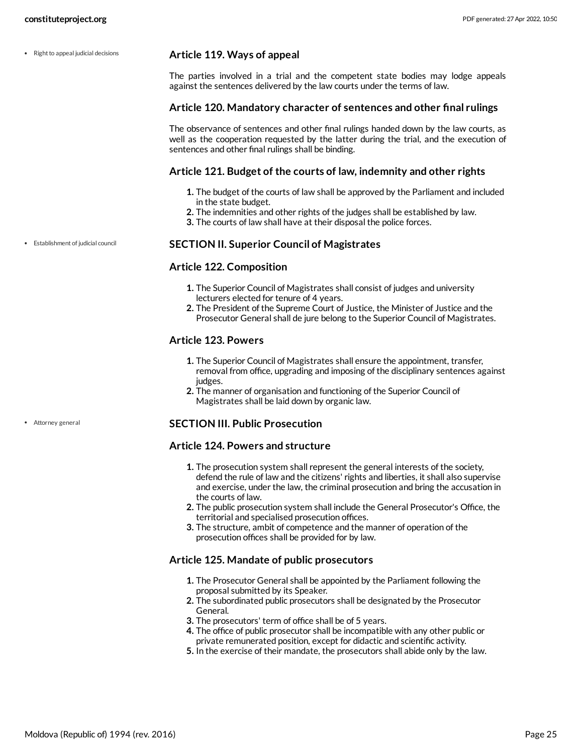$\cdot$  Right to appeal judicial decisions

### <span id="page-24-2"></span>**Article 119. Ways of appeal**

The parties involved in a trial and the competent state bodies may lodge appeals against the sentences delivered by the law courts under the terms of law.

### **Article 120. Mandatory character of sentences and other final rulings**

The observance of sentences and other final rulings handed down by the law courts, as well as the cooperation requested by the latter during the trial, and the execution of sentences and other final rulings shall be binding.

### **Article 121. Budget of the courts of law, indemnity and other rights**

- **1.** The budget of the courts of law shall be approved by the Parliament and included in the state budget.
- **2.** The indemnities and other rights of the judges shall be established by law.
- **3.** The courts of law shall have at their disposal the police forces.

Establishment of judicial council

Attorney general

### <span id="page-24-1"></span>**SECTION II. Superior Council of Magistrates**

### **Article 122. Composition**

- **1.** The Superior Council of Magistrates shall consist of judges and university lecturers elected for tenure of 4 years.
- **2.** The President of the Supreme Court of Justice, the Minister of Justice and the Prosecutor General shall de jure belong to the Superior Council of Magistrates.

### **Article 123. Powers**

- **1.** The Superior Council of Magistrates shall ensure the appointment, transfer, removal from office, upgrading and imposing of the disciplinary sentences against judges.
- **2.** The manner of organisation and functioning of the Superior Council of Magistrates shall be laid down by organic law.

### <span id="page-24-0"></span>**SECTION III. Public Prosecution**

### **Article 124. Powers and structure**

- **1.** The prosecution system shall represent the general interests of the society, defend the rule of law and the citizens' rights and liberties, it shall also supervise and exercise, under the law, the criminal prosecution and bring the accusation in the courts of law.
- **2.** The public prosecution system shall include the General Prosecutor's Office, the territorial and specialised prosecution offices.
- **3.** The structure, ambit of competence and the manner of operation of the prosecution offices shall be provided for by law.

### **Article 125. Mandate of public prosecutors**

- **1.** The Prosecutor General shall be appointed by the Parliament following the proposal submitted by its Speaker.
- **2.** The subordinated public prosecutors shall be designated by the Prosecutor General.
- **3.** The prosecutors' term of office shall be of 5 years.
- **4.** The office of public prosecutor shall be incompatible with any other public or private remunerated position, except for didactic and scientific activity.
- **5.** In the exercise of their mandate, the prosecutors shall abide only by the law.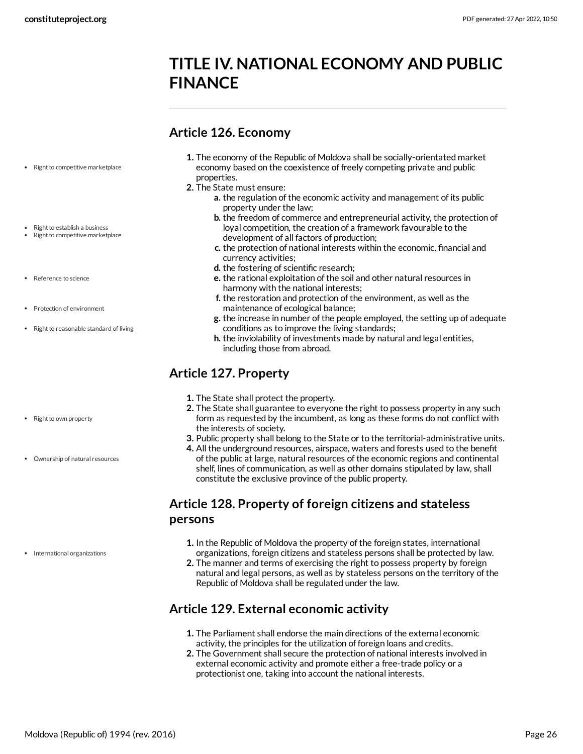# <span id="page-25-0"></span>**TITLE IV. NATIONAL ECONOMY AND PUBLIC FINANCE**

# <span id="page-25-1"></span>**Article 126. Economy**

- Right to competitive marketplace
- Right to establish a business
- Right to competitive marketplace
- Reference to science
- Protection of environment
- Right to reasonable standard of living
- 
- Right to own property
- Ownership of natural resources

• International organizations

- **1.** The economy of the Republic of Moldova shall be socially-orientated market economy based on the coexistence of freely competing private and public properties.
- **2.** The State must ensure:
	- **a.** the regulation of the economic activity and management of its public property under the law;
	- **b.** the freedom of commerce and entrepreneurial activity, the protection of loyal competition, the creation of a framework favourable to the development of all factors of production;
	- **c.** the protection of national interests within the economic, financial and currency activities;
	- **d.** the fostering of scientific research;
	- **e.** the rational exploitation of the soil and other natural resources in harmony with the national interests;
	- **f.** the restoration and protection of the environment, as well as the maintenance of ecological balance;
	- **g.** the increase in number of the people employed, the setting up of adequate conditions as to improve the living standards;
	- **h.** the inviolability of investments made by natural and legal entities, including those from abroad.

# <span id="page-25-2"></span>**Article 127. Property**

- **1.** The State shall protect the property.
- **2.** The State shall guarantee to everyone the right to possess property in any such form as requested by the incumbent, as long as these forms do not conflict with the interests of society.
- **3.** Public property shall belong to the State or to the territorial-administrative units.
- **4.** All the underground resources, airspace, waters and forests used to the benefit of the public at large, natural resources of the economic regions and continental shelf, lines of communication, as well as other domains stipulated by law, shall constitute the exclusive province of the public property.

# <span id="page-25-3"></span>**Article 128. Property of foreign citizens and stateless persons**

- **1.** In the Republic of Moldova the property of the foreign states, international organizations, foreign citizens and stateless persons shall be protected by law.
- **2.** The manner and terms of exercising the right to possess property by foreign natural and legal persons, as well as by stateless persons on the territory of the Republic of Moldova shall be regulated under the law.

# <span id="page-25-4"></span>**Article 129. External economic activity**

- **1.** The Parliament shall endorse the main directions of the external economic activity, the principles for the utilization of foreign loans and credits.
- <span id="page-25-5"></span>**2.** The Government shall secure the protection of national interests involved in external economic activity and promote either a free-trade policy or a protectionist one, taking into account the national interests.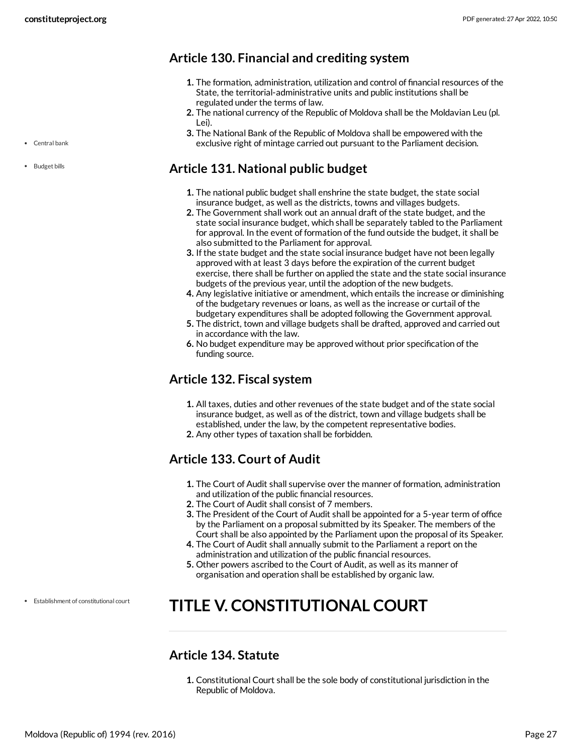• Central bank

• Budget bills

# <span id="page-26-0"></span>**Article 130. Financial and crediting system**

- **1.** The formation, administration, utilization and control of financial resources of the State, the territorial-administrative units and public institutions shall be regulated under the terms of law.
- **2.** The national currency of the Republic of Moldova shall be the Moldavian Leu (pl. Lei).
- **3.** The National Bank of the Republic of Moldova shall be empowered with the exclusive right of mintage carried out pursuant to the Parliament decision.

# <span id="page-26-1"></span>**Article 131. National public budget**

- **1.** The national public budget shall enshrine the state budget, the state social insurance budget, as well as the districts, towns and villages budgets.
- **2.** The Government shall work out an annual draft of the state budget, and the state social insurance budget, which shall be separately tabled to the Parliament for approval. In the event of formation of the fund outside the budget, it shall be also submitted to the Parliament for approval.
- **3.** If the state budget and the state social insurance budget have not been legally approved with at least 3 days before the expiration of the current budget exercise, there shall be further on applied the state and the state social insurance budgets of the previous year, until the adoption of the new budgets.
- **4.** Any legislative initiative or amendment, which entails the increase or diminishing of the budgetary revenues or loans, as well as the increase or curtail of the budgetary expenditures shall be adopted following the Government approval.
- **5.** The district, town and village budgets shall be drafted, approved and carried out in accordance with the law.
- **6.** No budget expenditure may be approved without prior specification of the funding source.

# <span id="page-26-2"></span>**Article 132. Fiscal system**

- **1.** All taxes, duties and other revenues of the state budget and of the state social insurance budget, as well as of the district, town and village budgets shall be established, under the law, by the competent representative bodies.
- **2.** Any other types of taxation shall be forbidden.

# <span id="page-26-3"></span>**Article 133. Court of Audit**

- **1.** The Court of Audit shall supervise over the manner of formation, administration and utilization of the public financial resources.
- **2.** The Court of Audit shall consist of 7 members.
- **3.** The President of the Court of Audit shall be appointed for a 5-year term of office by the Parliament on a proposal submitted by its Speaker. The members of the Court shall be also appointed by the Parliament upon the proposal of its Speaker.
- **4.** The Court of Audit shall annually submit to the Parliament a report on the administration and utilization of the public financial resources.
- **5.** Other powers ascribed to the Court of Audit, as well as its manner of organisation and operation shall be established by organic law.

Establishment of constitutional court

# <span id="page-26-4"></span>**TITLE V. CONSTITUTIONAL COURT**

# <span id="page-26-5"></span>**Article 134. Statute**

**1.** Constitutional Court shall be the sole body of constitutional jurisdiction in the Republic of Moldova.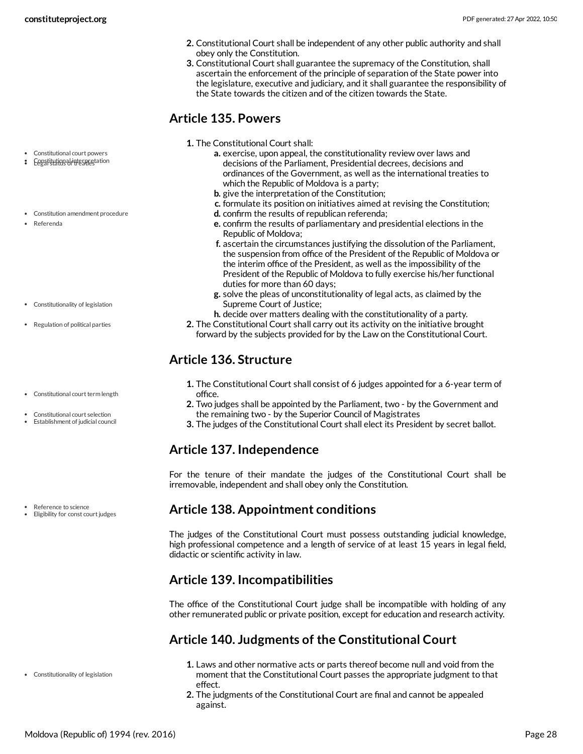- **2.** Constitutional Court shall be independent of any other public authority and shall obey only the Constitution.
- **3.** Constitutional Court shall guarantee the supremacy of the Constitution, shall ascertain the enforcement of the principle of separation of the State power into the legislature, executive and judiciary, and it shall guarantee the responsibility of the State towards the citizen and of the citizen towards the State.

# <span id="page-27-0"></span>**Article 135. Powers**

- **1.** The Constitutional Court shall:
	- **a.** exercise, upon appeal, the constitutionality review over laws and decisions of the Parliament, Presidential decrees, decisions and ordinances of the Government, as well as the international treaties to which the Republic of Moldova is a party;
	- **b.** give the interpretation of the Constitution;
	- **c.** formulate its position on initiatives aimed at revising the Constitution;
	- **d.** confirm the results of republican referenda;
	- **e.** confirm the results of parliamentary and presidential elections in the Republic of Moldova;
	- **f.** ascertain the circumstances justifying the dissolution of the Parliament, the suspension from office of the President of the Republic of Moldova or the interim office of the President, as well as the impossibility of the President of the Republic of Moldova to fully exercise his/her functional duties for more than 60 days;
	- **g.** solve the pleas of unconstitutionality of legal acts, as claimed by the Supreme Court of Justice;
	- **h.** decide over matters dealing with the constitutionality of a party.
- **2.** The Constitutional Court shall carry out its activity on the initiative brought forward by the subjects provided for by the Law on the Constitutional Court.

# <span id="page-27-1"></span>**Article 136. Structure**

- **1.** The Constitutional Court shall consist of 6 judges appointed for a 6-year term of office.
- **2.** Two judges shall be appointed by the Parliament, two by the Government and the remaining two - by the Superior Council of Magistrates
- **3.** The judges of the Constitutional Court shall elect its President by secret ballot.

# <span id="page-27-2"></span>**Article 137. Independence**

For the tenure of their mandate the judges of the Constitutional Court shall be irremovable, independent and shall obey only the Constitution.

# <span id="page-27-3"></span>**Article 138. Appointment conditions**

The judges of the Constitutional Court must possess outstanding judicial knowledge, high professional competence and a length of service of at least 15 years in legal field, didactic or scientific activity in law.

# <span id="page-27-4"></span>**Article 139. Incompatibilities**

The office of the Constitutional Court judge shall be incompatible with holding of any other remunerated public or private position, except for education and research activity.

# <span id="page-27-5"></span>**Article 140. Judgments of the Constitutional Court**

- **1.** Laws and other normative acts or parts thereof become null and void from the moment that the Constitutional Court passes the appropriate judgment to that effect.
- **2.** The judgments of the Constitutional Court are final and cannot be appealed against.
- Constitutional court powers
- Constitution al interpretation
- Constitution amendment procedure
- Referenda
- Constitutionality of legislation
- Regulation of political parties
- Constitutional court term length
- Constitutional court selection
- Establishment of judicial council

- Reference to science
- Eligibility for const court judges

Constitutionality of legislation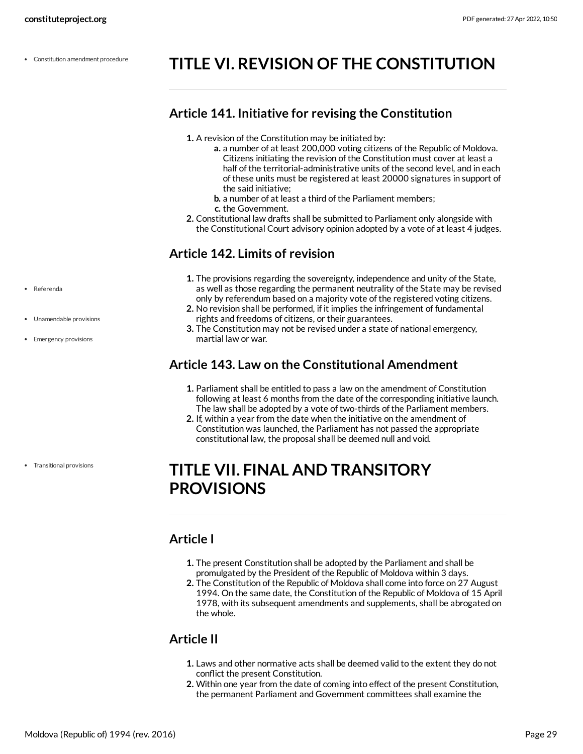Constitution amendment procedure

# <span id="page-28-0"></span>**TITLE VI. REVISION OF THE CONSTITUTION**

# <span id="page-28-1"></span>**Article 141. Initiative for revising the Constitution**

- **1.** A revision of the Constitution may be initiated by:
	- **a.** a number of at least 200,000 voting citizens of the Republic of Moldova. Citizens initiating the revision of the Constitution must cover at least a half of the territorial-administrative units of the second level, and in each of these units must be registered at least 20000 signatures in support of the said initiative;
	- **b.** a number of at least a third of the Parliament members;
	- **c.** the Government.
- **2.** Constitutional law drafts shall be submitted to Parliament only alongside with the Constitutional Court advisory opinion adopted by a vote of at least 4 judges.

# <span id="page-28-2"></span>**Article 142. Limits of revision**

- **1.** The provisions regarding the sovereignty, independence and unity of the State, as well as those regarding the permanent neutrality of the State may be revised only by referendum based on a majority vote of the registered voting citizens.
- **2.** No revision shall be performed, if it implies the infringement of fundamental rights and freedoms of citizens, or their guarantees.
- **3.** The Constitution may not be revised under a state of national emergency, martial law or war.

# <span id="page-28-3"></span>**Article 143. Law on the Constitutional Amendment**

- **1.** Parliament shall be entitled to pass a law on the amendment of Constitution following at least 6 months from the date of the corresponding initiative launch. The law shall be adopted by a vote of two-thirds of the Parliament members.
- **2.** If, within a year from the date when the initiative on the amendment of Constitution was launched, the Parliament has not passed the appropriate constitutional law, the proposal shall be deemed null and void.

# <span id="page-28-4"></span>**TITLE VII. FINAL AND TRANSITORY PROVISIONS**

# <span id="page-28-5"></span>**Article I**

- **1.** The present Constitution shall be adopted by the Parliament and shall be promulgated by the President of the Republic of Moldova within 3 days.
- **2.** The Constitution of the Republic of Moldova shall come into force on 27 August 1994. On the same date, the Constitution of the Republic of Moldova of 15 April 1978, with its subsequent amendments and supplements, shall be abrogated on the whole.

# <span id="page-28-6"></span>**Article II**

- **1.** Laws and other normative acts shall be deemed valid to the extent they do not conflict the present Constitution.
- **2.** Within one year from the date of coming into effect of the present Constitution, the permanent Parliament and Government committees shall examine the

Referenda

- Unamendable provisions
- Emergency provisions

Transitional provisions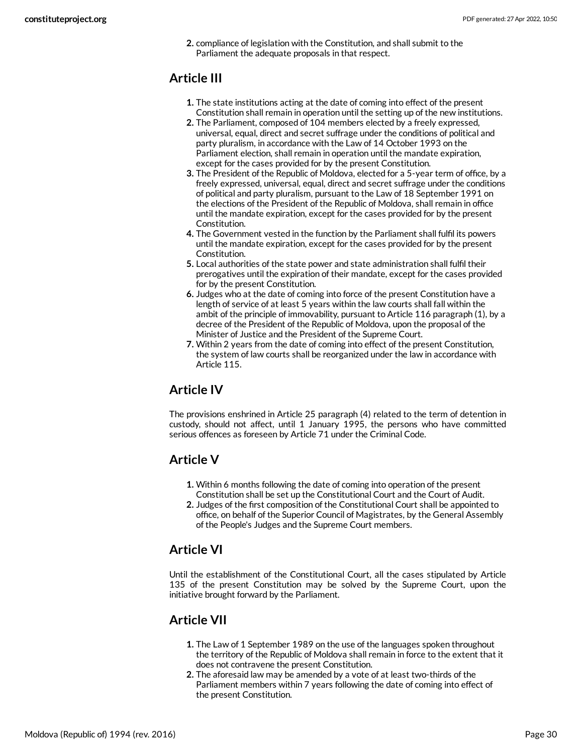**2.** compliance of legislation with the Constitution, and shall submit to the Parliament the adequate proposals in that respect.

# <span id="page-29-0"></span>**Article III**

- **1.** The state institutions acting at the date of coming into effect of the present Constitution shall remain in operation until the setting up of the new institutions.
- **2.** The Parliament, composed of 104 members elected by a freely expressed, universal, equal, direct and secret suffrage under the conditions of political and party pluralism, in accordance with the Law of 14 October 1993 on the Parliament election, shall remain in operation until the mandate expiration, except for the cases provided for by the present Constitution.
- **3.** The President of the Republic of Moldova, elected for a 5-year term of office, by a freely expressed, universal, equal, direct and secret suffrage under the conditions of political and party pluralism, pursuant to the Law of 18 September 1991 on the elections of the President of the Republic of Moldova, shall remain in office until the mandate expiration, except for the cases provided for by the present Constitution.
- **4.** The Government vested in the function by the Parliament shall fulfil its powers until the mandate expiration, except for the cases provided for by the present Constitution.
- **5.** Local authorities of the state power and state administration shall fulfil their prerogatives until the expiration of their mandate, except for the cases provided for by the present Constitution.
- **6.** Judges who at the date of coming into force of the present Constitution have a length of service of at least 5 years within the law courts shall fall within the ambit of the principle of immovability, pursuant to Article 116 paragraph (1), by a decree of the President of the Republic of Moldova, upon the proposal of the Minister of Justice and the President of the Supreme Court.
- **7.** Within 2 years from the date of coming into effect of the present Constitution, the system of law courts shall be reorganized under the law in accordance with Article 115.

# <span id="page-29-1"></span>**Article IV**

The provisions enshrined in Article 25 paragraph (4) related to the term of detention in custody, should not affect, until 1 January 1995, the persons who have committed serious offences as foreseen by Article 71 under the Criminal Code.

# <span id="page-29-2"></span>**Article V**

- **1.** Within 6 months following the date of coming into operation of the present Constitution shall be set up the Constitutional Court and the Court of Audit.
- **2.** Judges of the first composition of the Constitutional Court shall be appointed to office, on behalf of the Superior Council of Magistrates, by the General Assembly of the People's Judges and the Supreme Court members.

# <span id="page-29-3"></span>**Article VI**

Until the establishment of the Constitutional Court, all the cases stipulated by Article 135 of the present Constitution may be solved by the Supreme Court, upon the initiative brought forward by the Parliament.

# <span id="page-29-4"></span>**Article VII**

- **1.** The Law of 1 September 1989 on the use of the languages spoken throughout the territory of the Republic of Moldova shall remain in force to the extent that it does not contravene the present Constitution.
- **2.** The aforesaid law may be amended by a vote of at least two-thirds of the Parliament members within 7 years following the date of coming into effect of the present Constitution.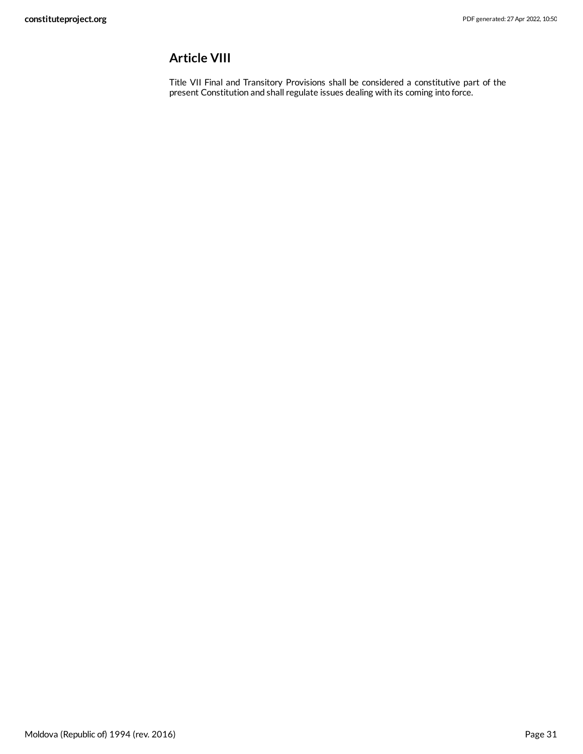# <span id="page-30-0"></span>**Article VIII**

Title VII Final and Transitory Provisions shall be considered a constitutive part of the present Constitution and shall regulate issues dealing with its coming into force.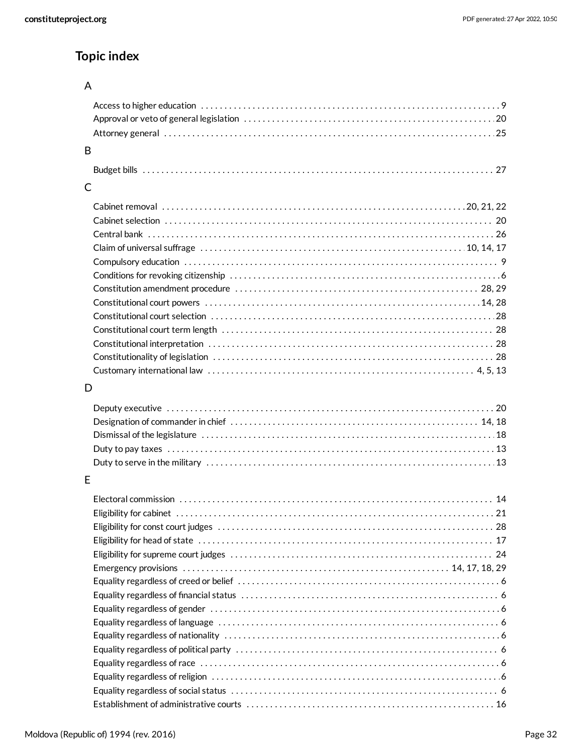# **Topic index**

# A

| B |  |
|---|--|
|   |  |
|   |  |
|   |  |
|   |  |
|   |  |
|   |  |
|   |  |
|   |  |
|   |  |
|   |  |

# C

# D

# E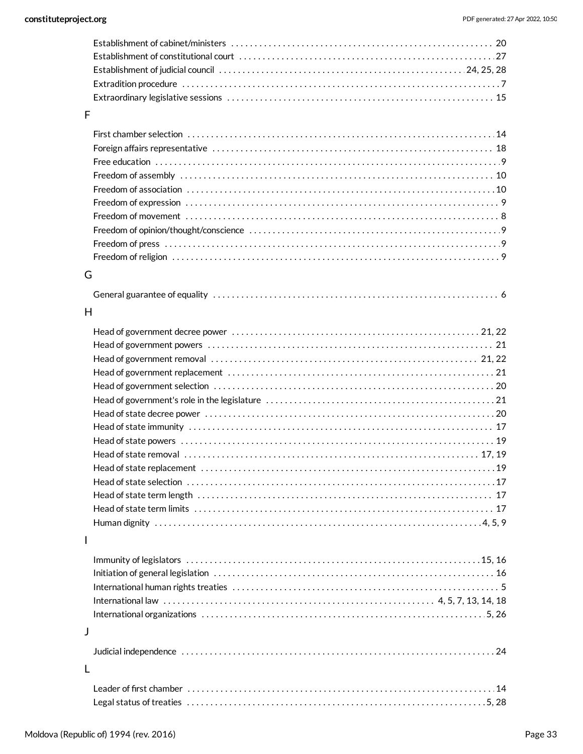### F

# G

# H

### I

| $\perp$ |  |
|---------|--|
|         |  |

# L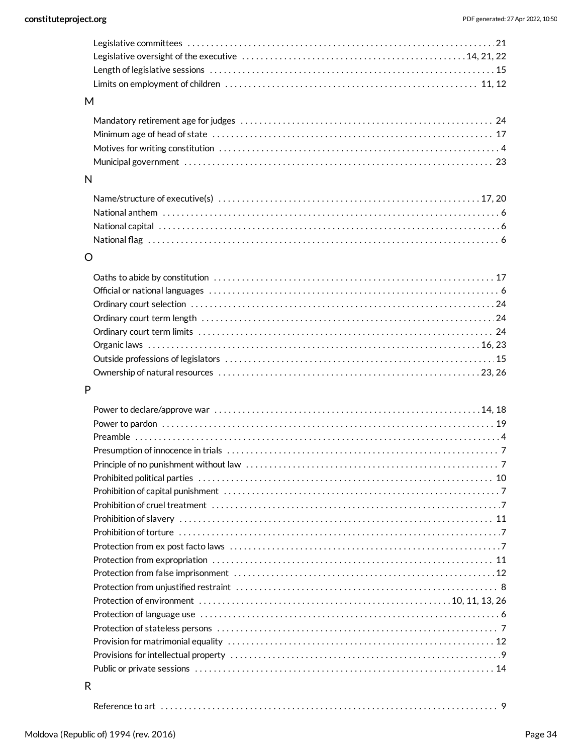### M

### N

# O

# P

| Reference to art |  |  |
|------------------|--|--|
|------------------|--|--|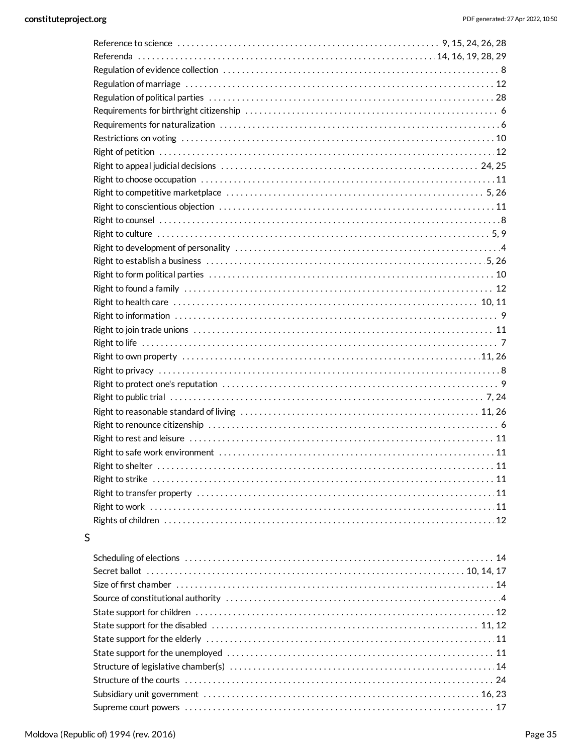# $\mathsf{S}$